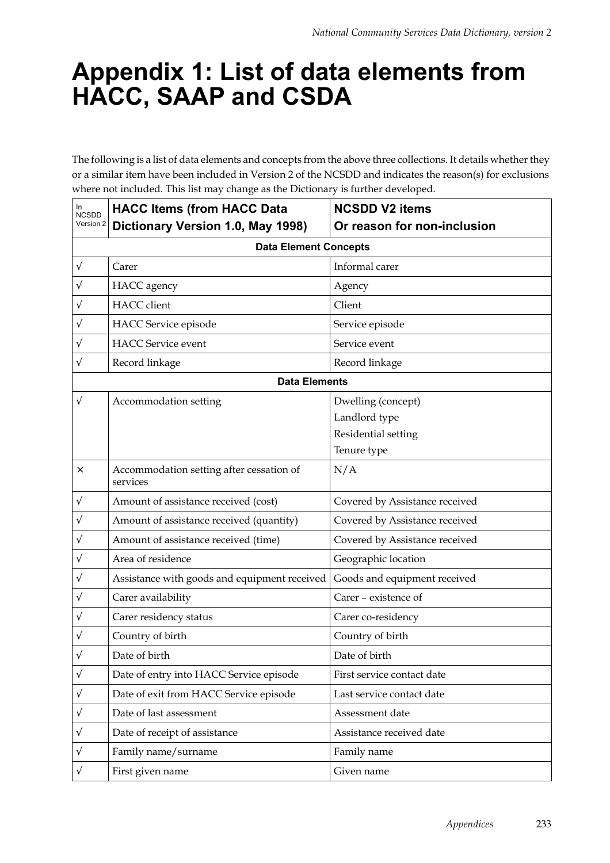## **Appendix 1: List of data elements from HACC, SAAP and CSDA**

The following is a list of data elements and concepts from the above three collections. It details whether they or a similar item have been included in Version 2 of the NCSDD and indicates the reason(s) for exclusions where not included. This list may change as the Dictionary is further developed.

| In<br><b>NCSDD</b> | <b>HACC Items (from HACC Data</b>                    | <b>NCSDD V2 items</b>          |
|--------------------|------------------------------------------------------|--------------------------------|
| Version 2          | Dictionary Version 1.0, May 1998)                    | Or reason for non-inclusion    |
|                    | <b>Data Element Concepts</b>                         |                                |
| $\sqrt{}$          | Carer                                                | Informal carer                 |
| $\sqrt{}$          | <b>HACC</b> agency                                   | Agency                         |
| $\sqrt{}$          | HACC client                                          | Client                         |
| $\sqrt{}$          | HACC Service episode                                 | Service episode                |
| V                  | <b>HACC</b> Service event                            | Service event                  |
| V                  | Record linkage                                       | Record linkage                 |
|                    | <b>Data Elements</b>                                 |                                |
| $\sqrt{}$          | Accommodation setting                                | Dwelling (concept)             |
|                    |                                                      | Landlord type                  |
|                    |                                                      | Residential setting            |
|                    |                                                      | Tenure type                    |
| ×                  | Accommodation setting after cessation of<br>services | N/A                            |
| $\sqrt{}$          | Amount of assistance received (cost)                 | Covered by Assistance received |
| $\sqrt{}$          | Amount of assistance received (quantity)             | Covered by Assistance received |
| V                  | Amount of assistance received (time)                 | Covered by Assistance received |
| V                  | Area of residence                                    | Geographic location            |
| $\sqrt{}$          | Assistance with goods and equipment received         | Goods and equipment received   |
| $\sqrt{}$          | Carer availability                                   | Carer - existence of           |
| $\sqrt{}$          | Carer residency status                               | Carer co-residency             |
| $\sqrt{}$          | Country of birth                                     | Country of birth               |
| $\sqrt{}$          | Date of birth                                        | Date of birth                  |
| $\sqrt{}$          | Date of entry into HACC Service episode              | First service contact date     |
| V                  | Date of exit from HACC Service episode               | Last service contact date      |
| $\sqrt{}$          | Date of last assessment                              | Assessment date                |
| $\sqrt{}$          | Date of receipt of assistance                        | Assistance received date       |
| $\sqrt{}$          | Family name/surname                                  | Family name                    |
| $\sqrt{}$          | First given name                                     | Given name                     |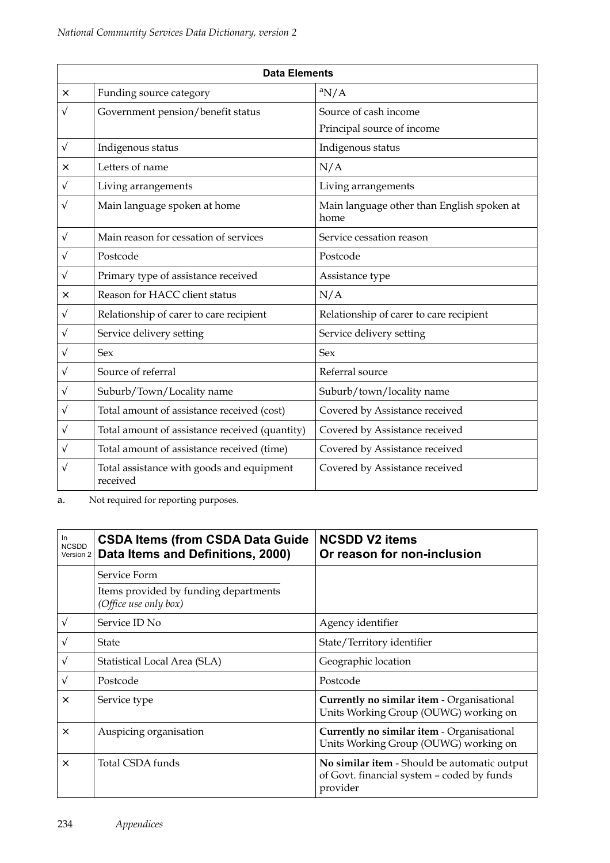| <b>Data Elements</b> |                                                       |                                                    |  |
|----------------------|-------------------------------------------------------|----------------------------------------------------|--|
| ×                    | Funding source category                               | ${}^a$ N/A                                         |  |
| V                    | Government pension/benefit status                     | Source of cash income                              |  |
|                      |                                                       | Principal source of income                         |  |
| $\sqrt{}$            | Indigenous status                                     | Indigenous status                                  |  |
| ×                    | Letters of name                                       | N/A                                                |  |
| V                    | Living arrangements                                   | Living arrangements                                |  |
| V                    | Main language spoken at home                          | Main language other than English spoken at<br>home |  |
| $\sqrt{}$            | Main reason for cessation of services                 | Service cessation reason                           |  |
| V                    | Postcode                                              | Postcode                                           |  |
| V                    | Primary type of assistance received                   | Assistance type                                    |  |
| ×                    | Reason for HACC client status                         | N/A                                                |  |
| V                    | Relationship of carer to care recipient               | Relationship of carer to care recipient            |  |
| V                    | Service delivery setting                              | Service delivery setting                           |  |
| V                    | <b>Sex</b>                                            | Sex                                                |  |
| V                    | Source of referral                                    | Referral source                                    |  |
| V                    | Suburb/Town/Locality name                             | Suburb/town/locality name                          |  |
| V                    | Total amount of assistance received (cost)            | Covered by Assistance received                     |  |
| $\sqrt{}$            | Total amount of assistance received (quantity)        | Covered by Assistance received                     |  |
| V                    | Total amount of assistance received (time)            | Covered by Assistance received                     |  |
| V                    | Total assistance with goods and equipment<br>received | Covered by Assistance received                     |  |

a. Not required for reporting purposes.

| In<br><b>NCSDD</b><br>Version 2 | <b>CSDA Items (from CSDA Data Guide</b><br>Data Items and Definitions, 2000) | <b>NCSDD V2 items</b><br>Or reason for non-inclusion                                                   |
|---------------------------------|------------------------------------------------------------------------------|--------------------------------------------------------------------------------------------------------|
|                                 | Service Form                                                                 |                                                                                                        |
|                                 | Items provided by funding departments<br>(Office use only box)               |                                                                                                        |
| $\sqrt{}$                       | Service ID No                                                                | Agency identifier                                                                                      |
| $\sqrt{}$                       | State                                                                        | State/Territory identifier                                                                             |
| $\sqrt{ }$                      | Statistical Local Area (SLA)                                                 | Geographic location                                                                                    |
| $\sqrt{}$                       | Postcode                                                                     | Postcode                                                                                               |
| $\times$                        | Service type                                                                 | Currently no similar item - Organisational<br>Units Working Group (OUWG) working on                    |
| $\times$                        | Auspicing organisation                                                       | Currently no similar item - Organisational<br>Units Working Group (OUWG) working on                    |
| $\times$                        | Total CSDA funds                                                             | No similar item - Should be automatic output<br>of Govt. financial system – coded by funds<br>provider |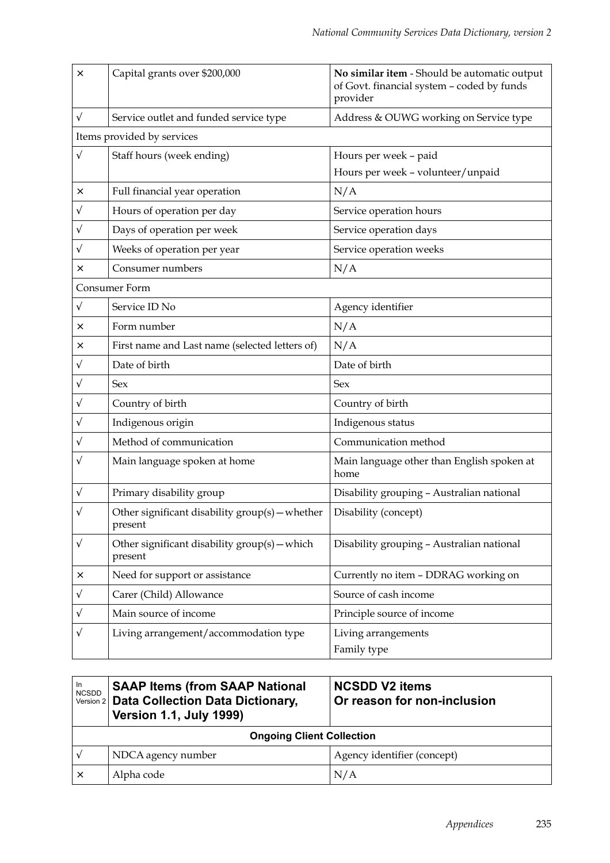| $\times$  | Capital grants over \$200,000                              | No similar item - Should be automatic output<br>of Govt. financial system - coded by funds<br>provider |
|-----------|------------------------------------------------------------|--------------------------------------------------------------------------------------------------------|
| $\sqrt{}$ | Service outlet and funded service type                     | Address & OUWG working on Service type                                                                 |
|           | Items provided by services                                 |                                                                                                        |
| $\sqrt{}$ | Staff hours (week ending)                                  | Hours per week - paid                                                                                  |
|           |                                                            | Hours per week - volunteer/unpaid                                                                      |
| ×         | Full financial year operation                              | N/A                                                                                                    |
| V         | Hours of operation per day                                 | Service operation hours                                                                                |
| V         | Days of operation per week                                 | Service operation days                                                                                 |
| V         | Weeks of operation per year                                | Service operation weeks                                                                                |
| ×         | Consumer numbers                                           | N/A                                                                                                    |
|           | Consumer Form                                              |                                                                                                        |
| V         | Service ID No                                              | Agency identifier                                                                                      |
| ×         | Form number                                                | N/A                                                                                                    |
| ×         | First name and Last name (selected letters of)             | N/A                                                                                                    |
| $\sqrt{}$ | Date of birth                                              | Date of birth                                                                                          |
| V         | Sex                                                        | Sex                                                                                                    |
| V         | Country of birth                                           | Country of birth                                                                                       |
| V         | Indigenous origin                                          | Indigenous status                                                                                      |
| V         | Method of communication                                    | Communication method                                                                                   |
| V         | Main language spoken at home                               | Main language other than English spoken at<br>home                                                     |
| V         | Primary disability group                                   | Disability grouping - Australian national                                                              |
| V         | Other significant disability group(s) - whether<br>present | Disability (concept)                                                                                   |
| V         | Other significant disability $group(s) - which$<br>present | Disability grouping - Australian national                                                              |
| ×         | Need for support or assistance                             | Currently no item - DDRAG working on                                                                   |
| V         | Carer (Child) Allowance                                    | Source of cash income                                                                                  |
| V         | Main source of income                                      | Principle source of income                                                                             |
| V         | Living arrangement/accommodation type                      | Living arrangements<br>Family type                                                                     |

| <b>SAAP Items (from SAAP National</b><br>In<br><b>NCSDD</b><br>Version 2 Data Collection Data Dictionary,<br><b>Version 1.1, July 1999)</b> |                    | <b>NCSDD V2 items</b><br>Or reason for non-inclusion |  |
|---------------------------------------------------------------------------------------------------------------------------------------------|--------------------|------------------------------------------------------|--|
| <b>Ongoing Client Collection</b>                                                                                                            |                    |                                                      |  |
| $\mathcal{N}$                                                                                                                               | NDCA agency number | Agency identifier (concept)                          |  |
| ×                                                                                                                                           | Alpha code         | N/A                                                  |  |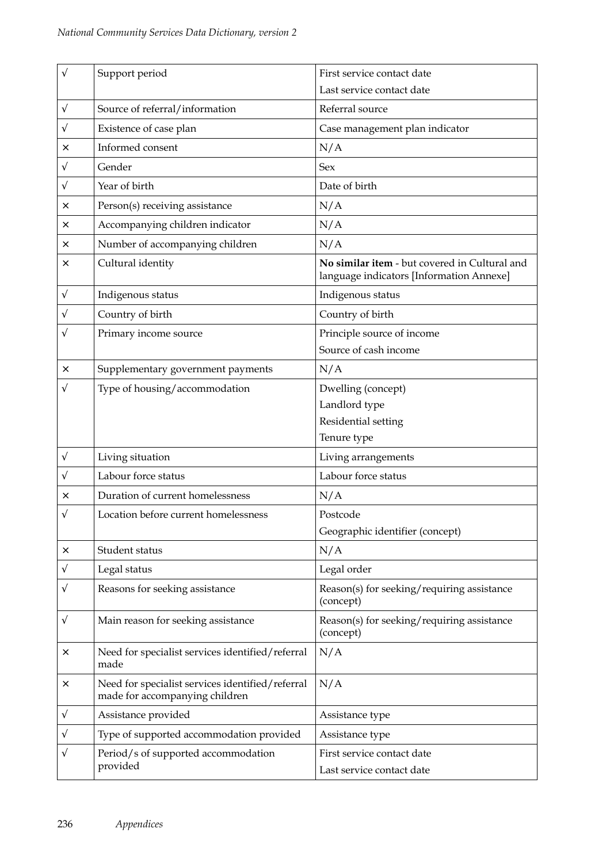| $\sqrt{}$ | Support period                                                                     | First service contact date<br>Last service contact date                                   |  |
|-----------|------------------------------------------------------------------------------------|-------------------------------------------------------------------------------------------|--|
| V         | Source of referral/information                                                     | Referral source                                                                           |  |
| $\sqrt{}$ | Existence of case plan                                                             | Case management plan indicator                                                            |  |
| ×         | Informed consent                                                                   | N/A                                                                                       |  |
| V         | Gender                                                                             | <b>Sex</b>                                                                                |  |
| $\sqrt{}$ | Year of birth                                                                      | Date of birth                                                                             |  |
| ×         | Person(s) receiving assistance                                                     | N/A                                                                                       |  |
| ×         | Accompanying children indicator                                                    | N/A                                                                                       |  |
| ×         | Number of accompanying children                                                    | N/A                                                                                       |  |
| ×         | Cultural identity                                                                  | No similar item - but covered in Cultural and<br>language indicators [Information Annexe] |  |
| V         | Indigenous status                                                                  | Indigenous status                                                                         |  |
| V         | Country of birth                                                                   | Country of birth                                                                          |  |
| V         | Primary income source                                                              | Principle source of income<br>Source of cash income                                       |  |
| ×         | Supplementary government payments                                                  | N/A                                                                                       |  |
|           | Type of housing/accommodation                                                      | Dwelling (concept)<br>Landlord type<br>Residential setting<br>Tenure type                 |  |
| $\sqrt{}$ | Living situation                                                                   | Living arrangements                                                                       |  |
| V         | Labour force status                                                                | Labour force status                                                                       |  |
| ×         | Duration of current homelessness                                                   | N/A                                                                                       |  |
| V         | Location before current homelessness                                               | Postcode<br>Geographic identifier (concept)                                               |  |
| ×         | Student status                                                                     | N/A                                                                                       |  |
| V         | Legal status                                                                       | Legal order                                                                               |  |
| V         | Reasons for seeking assistance                                                     | Reason(s) for seeking/requiring assistance<br>(concept)                                   |  |
| $\sqrt{}$ | Main reason for seeking assistance                                                 | Reason(s) for seeking/requiring assistance<br>(concept)                                   |  |
| ×         | Need for specialist services identified/referral<br>made                           | N/A                                                                                       |  |
| ×         | Need for specialist services identified/referral<br>made for accompanying children | N/A                                                                                       |  |
| V         | Assistance provided                                                                | Assistance type                                                                           |  |
| V         | Type of supported accommodation provided                                           | Assistance type                                                                           |  |
| V         | Period/s of supported accommodation<br>provided                                    | First service contact date<br>Last service contact date                                   |  |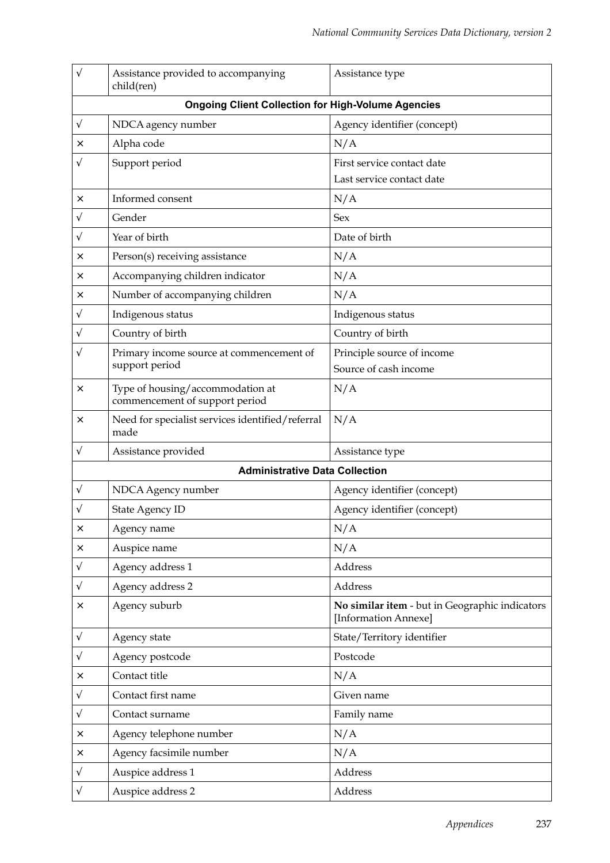| V                                                         | Assistance provided to accompanying<br>child(ren)                  | Assistance type                                                        |  |
|-----------------------------------------------------------|--------------------------------------------------------------------|------------------------------------------------------------------------|--|
| <b>Ongoing Client Collection for High-Volume Agencies</b> |                                                                    |                                                                        |  |
| V                                                         | NDCA agency number                                                 | Agency identifier (concept)                                            |  |
| ×                                                         | Alpha code                                                         | N/A                                                                    |  |
| V                                                         | Support period                                                     | First service contact date                                             |  |
|                                                           |                                                                    | Last service contact date                                              |  |
| ×                                                         | Informed consent                                                   | N/A                                                                    |  |
| V                                                         | Gender                                                             | Sex                                                                    |  |
| V                                                         | Year of birth                                                      | Date of birth                                                          |  |
| ×                                                         | Person(s) receiving assistance                                     | N/A                                                                    |  |
| ×                                                         | Accompanying children indicator                                    | N/A                                                                    |  |
| ×                                                         | Number of accompanying children                                    | N/A                                                                    |  |
| V                                                         | Indigenous status                                                  | Indigenous status                                                      |  |
| V                                                         | Country of birth                                                   | Country of birth                                                       |  |
| V                                                         | Primary income source at commencement of                           | Principle source of income                                             |  |
|                                                           | support period                                                     | Source of cash income                                                  |  |
| $\times$                                                  | Type of housing/accommodation at<br>commencement of support period | N/A                                                                    |  |
| $\times$                                                  | Need for specialist services identified/referral<br>made           | N/A                                                                    |  |
| $\sqrt{}$                                                 | Assistance provided                                                | Assistance type                                                        |  |
|                                                           | <b>Administrative Data Collection</b>                              |                                                                        |  |
| V                                                         | NDCA Agency number                                                 | Agency identifier (concept)                                            |  |
|                                                           | <b>State Agency ID</b>                                             | Agency identifier (concept)                                            |  |
| ×                                                         | Agency name                                                        | N/A                                                                    |  |
| ×                                                         | Auspice name                                                       | N/A                                                                    |  |
| $\sqrt{}$                                                 | Agency address 1                                                   | Address                                                                |  |
| $\sqrt{}$                                                 | Agency address 2                                                   | Address                                                                |  |
| ×                                                         | Agency suburb                                                      | No similar item - but in Geographic indicators<br>[Information Annexe] |  |
| V                                                         | Agency state                                                       | State/Territory identifier                                             |  |
| V                                                         | Agency postcode                                                    | Postcode                                                               |  |
| $\times$                                                  | Contact title                                                      | N/A                                                                    |  |
| $\sqrt{}$                                                 | Contact first name                                                 | Given name                                                             |  |
| $\sqrt{}$                                                 | Contact surname                                                    | Family name                                                            |  |
| X                                                         | Agency telephone number                                            | N/A                                                                    |  |
| ×                                                         | Agency facsimile number                                            | N/A                                                                    |  |
| $\sqrt{}$                                                 | Auspice address 1                                                  | Address                                                                |  |
| V                                                         | Auspice address 2                                                  | Address                                                                |  |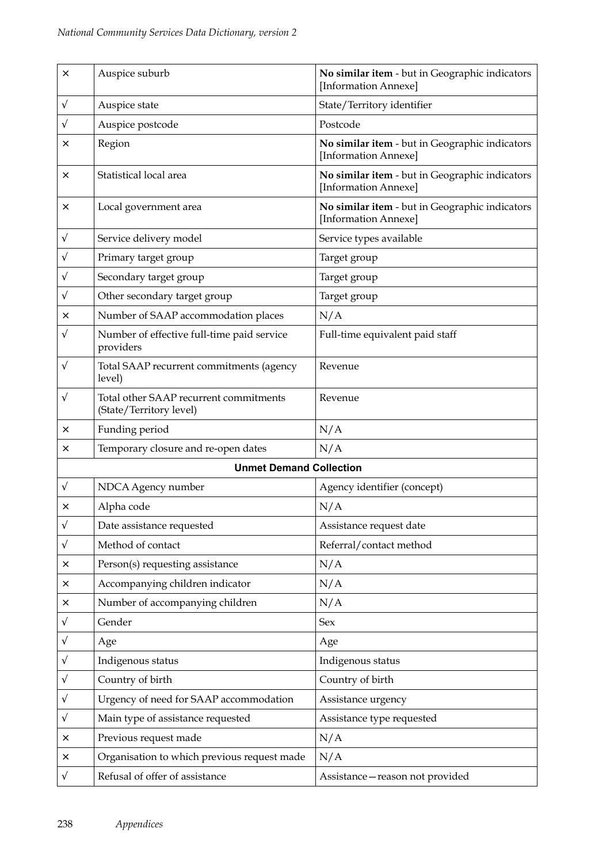| ×         | Auspice suburb                                                    | No similar item - but in Geographic indicators<br>[Information Annexe] |  |
|-----------|-------------------------------------------------------------------|------------------------------------------------------------------------|--|
| $\sqrt{}$ | Auspice state                                                     | State/Territory identifier                                             |  |
| $\sqrt{}$ | Auspice postcode                                                  | Postcode                                                               |  |
| ×         | Region                                                            | No similar item - but in Geographic indicators<br>[Information Annexe] |  |
| ×         | Statistical local area                                            | No similar item - but in Geographic indicators<br>[Information Annexe] |  |
| ×         | Local government area                                             | No similar item - but in Geographic indicators<br>[Information Annexe] |  |
| V         | Service delivery model                                            | Service types available                                                |  |
| V         | Primary target group                                              | Target group                                                           |  |
| $\sqrt{}$ | Secondary target group                                            | Target group                                                           |  |
| $\sqrt{}$ | Other secondary target group                                      | Target group                                                           |  |
| ×         | Number of SAAP accommodation places                               | N/A                                                                    |  |
| $\sqrt{}$ | Number of effective full-time paid service<br>providers           | Full-time equivalent paid staff                                        |  |
| V         | Total SAAP recurrent commitments (agency<br>level)                | Revenue                                                                |  |
| V         | Total other SAAP recurrent commitments<br>(State/Territory level) | Revenue                                                                |  |
| ×         | Funding period                                                    | N/A                                                                    |  |
| ×         | Temporary closure and re-open dates                               | N/A                                                                    |  |
|           | <b>Unmet Demand Collection</b>                                    |                                                                        |  |
| $\sqrt{}$ | NDCA Agency number                                                | Agency identifier (concept)                                            |  |
| ×         | Alpha code                                                        | N/A                                                                    |  |
| $\sqrt{}$ | Date assistance requested                                         | Assistance request date                                                |  |
| $\sqrt{}$ | Method of contact                                                 | Referral/contact method                                                |  |
| ×         | Person(s) requesting assistance                                   | N/A                                                                    |  |
| ×         | Accompanying children indicator                                   | N/A                                                                    |  |
| ×         | Number of accompanying children                                   | N/A                                                                    |  |
| $\sqrt{}$ | Gender                                                            | <b>Sex</b>                                                             |  |
| $\sqrt{}$ | Age                                                               | Age                                                                    |  |
| $\sqrt{}$ | Indigenous status                                                 | Indigenous status                                                      |  |
| $\sqrt{}$ | Country of birth                                                  | Country of birth                                                       |  |
| V         | Urgency of need for SAAP accommodation                            | Assistance urgency                                                     |  |
| V         | Main type of assistance requested                                 | Assistance type requested                                              |  |
| ×         | Previous request made                                             | N/A                                                                    |  |
| ×         | Organisation to which previous request made                       | N/A                                                                    |  |
| $\sqrt{}$ | Refusal of offer of assistance                                    | Assistance-reason not provided                                         |  |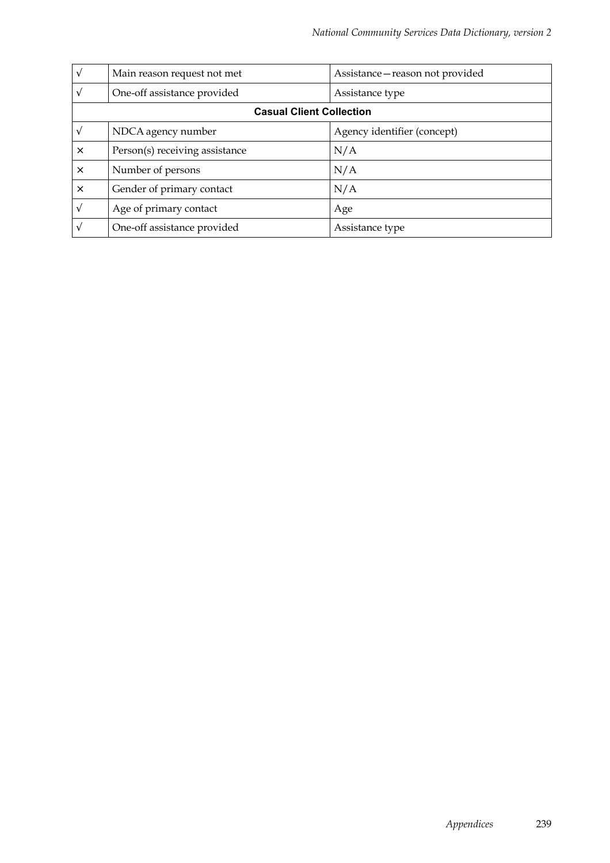| $\sqrt{ }$                      | Main reason request not met    | Assistance - reason not provided |  |
|---------------------------------|--------------------------------|----------------------------------|--|
| $\sqrt{ }$                      | One-off assistance provided    | Assistance type                  |  |
| <b>Casual Client Collection</b> |                                |                                  |  |
|                                 | NDCA agency number             | Agency identifier (concept)      |  |
| $\times$                        | Person(s) receiving assistance | N/A                              |  |
| $\times$                        | Number of persons              | N/A                              |  |
| $\times$                        | Gender of primary contact      | N/A                              |  |
| $\sqrt{ }$                      | Age of primary contact         | Age                              |  |
| N                               | One-off assistance provided    | Assistance type                  |  |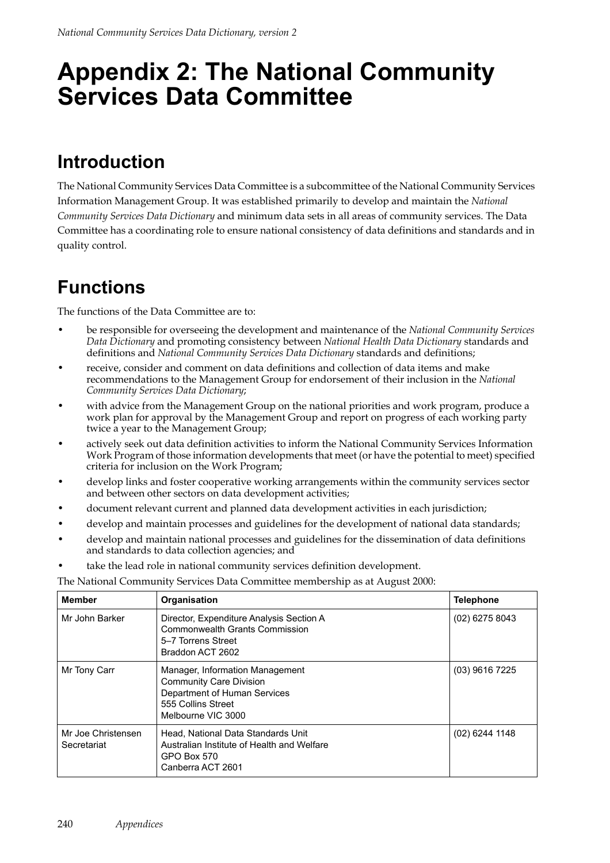## **Appendix 2: The National Community Services Data Committee**

### **Introduction**

The National Community Services Data Committee is a subcommittee of the National Community Services Information Management Group. It was established primarily to develop and maintain the *National Community Services Data Dictionary* and minimum data sets in all areas of community services. The Data Committee has a coordinating role to ensure national consistency of data definitions and standards and in quality control.

### **Functions**

The functions of the Data Committee are to:

- be responsible for overseeing the development and maintenance of the *National Community Services Data Dictionary* and promoting consistency between *National Health Data Dictionary* standards and definitions and *National Community Services Data Dictionary* standards and definitions;
- receive, consider and comment on data definitions and collection of data items and make recommendations to the Management Group for endorsement of their inclusion in the *National Community Services Data Dictionary*;
- with advice from the Management Group on the national priorities and work program, produce a work plan for approval by the Management Group and report on progress of each working party twice a year to the Management Group;
- actively seek out data definition activities to inform the National Community Services Information Work Program of those information developments that meet (or have the potential to meet) specified criteria for inclusion on the Work Program;
- develop links and foster cooperative working arrangements within the community services sector and between other sectors on data development activities;
- document relevant current and planned data development activities in each jurisdiction;
- develop and maintain processes and guidelines for the development of national data standards;
- develop and maintain national processes and guidelines for the dissemination of data definitions and standards to data collection agencies; and
- take the lead role in national community services definition development.

The National Community Services Data Committee membership as at August 2000:

| <b>Member</b>                     | Organisation                                                                                                                                  | <b>Telephone</b> |
|-----------------------------------|-----------------------------------------------------------------------------------------------------------------------------------------------|------------------|
| Mr John Barker                    | Director, Expenditure Analysis Section A<br><b>Commonwealth Grants Commission</b><br>5–7 Torrens Street<br>Braddon ACT 2602                   | $(02)$ 6275 8043 |
| Mr Tony Carr                      | Manager, Information Management<br><b>Community Care Division</b><br>Department of Human Services<br>555 Collins Street<br>Melbourne VIC 3000 | (03) 9616 7225   |
| Mr Joe Christensen<br>Secretariat | Head, National Data Standards Unit<br>Australian Institute of Health and Welfare<br>GPO Box 570<br>Canberra ACT 2601                          | $(02)$ 6244 1148 |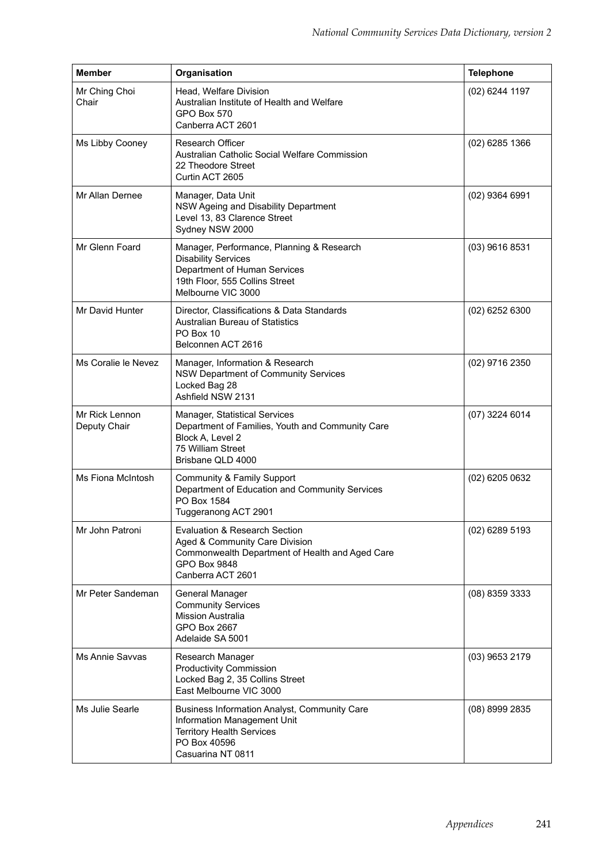| <b>Member</b>                  | Organisation                                                                                                                                                              | <b>Telephone</b> |
|--------------------------------|---------------------------------------------------------------------------------------------------------------------------------------------------------------------------|------------------|
| Mr Ching Choi<br>Chair         | Head, Welfare Division<br>Australian Institute of Health and Welfare<br>GPO Box 570<br>Canberra ACT 2601                                                                  | (02) 6244 1197   |
| Ms Libby Cooney                | Research Officer<br>Australian Catholic Social Welfare Commission<br>22 Theodore Street<br>Curtin ACT 2605                                                                | $(02)$ 6285 1366 |
| Mr Allan Dernee                | Manager, Data Unit<br>NSW Ageing and Disability Department<br>Level 13, 83 Clarence Street<br>Sydney NSW 2000                                                             | $(02)$ 9364 6991 |
| Mr Glenn Foard                 | Manager, Performance, Planning & Research<br><b>Disability Services</b><br>Department of Human Services<br>19th Floor, 555 Collins Street<br>Melbourne VIC 3000           | (03) 9616 8531   |
| Mr David Hunter                | Director, Classifications & Data Standards<br><b>Australian Bureau of Statistics</b><br>PO Box 10<br>Belconnen ACT 2616                                                   | $(02)$ 6252 6300 |
| Ms Coralie le Nevez            | Manager, Information & Research<br>NSW Department of Community Services<br>Locked Bag 28<br>Ashfield NSW 2131                                                             | (02) 9716 2350   |
| Mr Rick Lennon<br>Deputy Chair | Manager, Statistical Services<br>Department of Families, Youth and Community Care<br>Block A, Level 2<br>75 William Street<br>Brisbane QLD 4000                           | (07) 3224 6014   |
| Ms Fiona McIntosh              | Community & Family Support<br>Department of Education and Community Services<br>PO Box 1584<br>Tuggeranong ACT 2901                                                       | $(02)$ 6205 0632 |
| Mr John Patroni                | <b>Evaluation &amp; Research Section</b><br>Aged & Community Care Division<br>Commonwealth Department of Health and Aged Care<br><b>GPO Box 9848</b><br>Canberra ACT 2601 | $(02)$ 6289 5193 |
| Mr Peter Sandeman              | General Manager<br><b>Community Services</b><br><b>Mission Australia</b><br>GPO Box 2667<br>Adelaide SA 5001                                                              | (08) 8359 3333   |
| Ms Annie Savvas                | Research Manager<br><b>Productivity Commission</b><br>Locked Bag 2, 35 Collins Street<br>East Melbourne VIC 3000                                                          | (03) 9653 2179   |
| Ms Julie Searle                | Business Information Analyst, Community Care<br>Information Management Unit<br><b>Territory Health Services</b><br>PO Box 40596<br>Casuarina NT 0811                      | (08) 8999 2835   |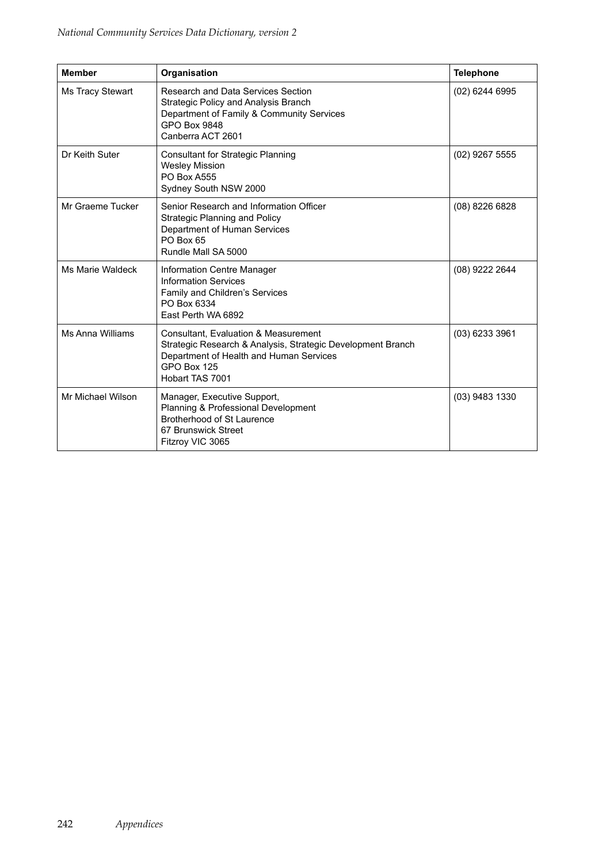| <b>Member</b>     | Organisation                                                                                                                                                                     | <b>Telephone</b> |
|-------------------|----------------------------------------------------------------------------------------------------------------------------------------------------------------------------------|------------------|
| Ms Tracy Stewart  | Research and Data Services Section<br>Strategic Policy and Analysis Branch<br>Department of Family & Community Services<br><b>GPO Box 9848</b><br>Canberra ACT 2601              | (02) 6244 6995   |
| Dr Keith Suter    | <b>Consultant for Strategic Planning</b><br><b>Wesley Mission</b><br><b>PO Box A555</b><br>Sydney South NSW 2000                                                                 | $(02)$ 9267 5555 |
| Mr Graeme Tucker  | Senior Research and Information Officer<br><b>Strategic Planning and Policy</b><br>Department of Human Services<br>PO Box 65<br>Rundle Mall SA 5000                              | (08) 8226 6828   |
| Ms Marie Waldeck  | Information Centre Manager<br><b>Information Services</b><br>Family and Children's Services<br>PO Box 6334<br>East Perth WA 6892                                                 | (08) 9222 2644   |
| Ms Anna Williams  | Consultant, Evaluation & Measurement<br>Strategic Research & Analysis, Strategic Development Branch<br>Department of Health and Human Services<br>GPO Box 125<br>Hobart TAS 7001 | $(03)$ 6233 3961 |
| Mr Michael Wilson | Manager, Executive Support,<br>Planning & Professional Development<br>Brotherhood of St Laurence<br>67 Brunswick Street<br>Fitzroy VIC 3065                                      | (03) 9483 1330   |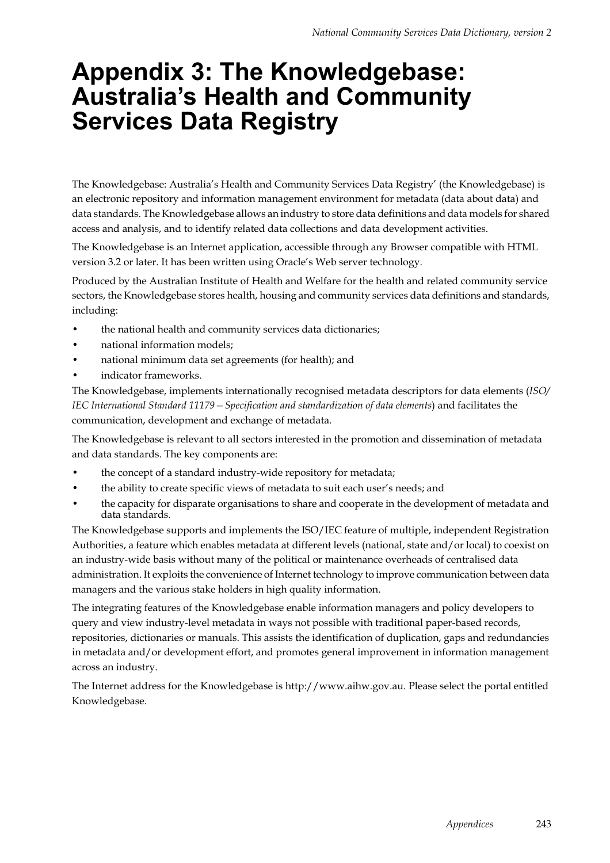## **Appendix 3: The Knowledgebase: Australia's Health and Community Services Data Registry**

The Knowledgebase: Australia's Health and Community Services Data Registry' (the Knowledgebase) is an electronic repository and information management environment for metadata (data about data) and data standards. The Knowledgebase allows an industry to store data definitions and data models for shared access and analysis, and to identify related data collections and data development activities.

The Knowledgebase is an Internet application, accessible through any Browser compatible with HTML version 3.2 or later. It has been written using Oracle's Web server technology.

Produced by the Australian Institute of Health and Welfare for the health and related community service sectors, the Knowledgebase stores health, housing and community services data definitions and standards, including:

- the national health and community services data dictionaries;
- national information models;
- national minimum data set agreements (for health); and
- indicator frameworks.

The Knowledgebase, implements internationally recognised metadata descriptors for data elements (*ISO/ IEC International Standard 11179—Specification and standardization of data elements*) and facilitates the communication, development and exchange of metadata.

The Knowledgebase is relevant to all sectors interested in the promotion and dissemination of metadata and data standards. The key components are:

- the concept of a standard industry-wide repository for metadata;
- the ability to create specific views of metadata to suit each user's needs; and
- the capacity for disparate organisations to share and cooperate in the development of metadata and data standards.

The Knowledgebase supports and implements the ISO/IEC feature of multiple, independent Registration Authorities, a feature which enables metadata at different levels (national, state and/or local) to coexist on an industry-wide basis without many of the political or maintenance overheads of centralised data administration. It exploits the convenience of Internet technology to improve communication between data managers and the various stake holders in high quality information.

The integrating features of the Knowledgebase enable information managers and policy developers to query and view industry-level metadata in ways not possible with traditional paper-based records, repositories, dictionaries or manuals. This assists the identification of duplication, gaps and redundancies in metadata and/or development effort, and promotes general improvement in information management across an industry.

The Internet address for the Knowledgebase is http://www.aihw.gov.au. Please select the portal entitled Knowledgebase.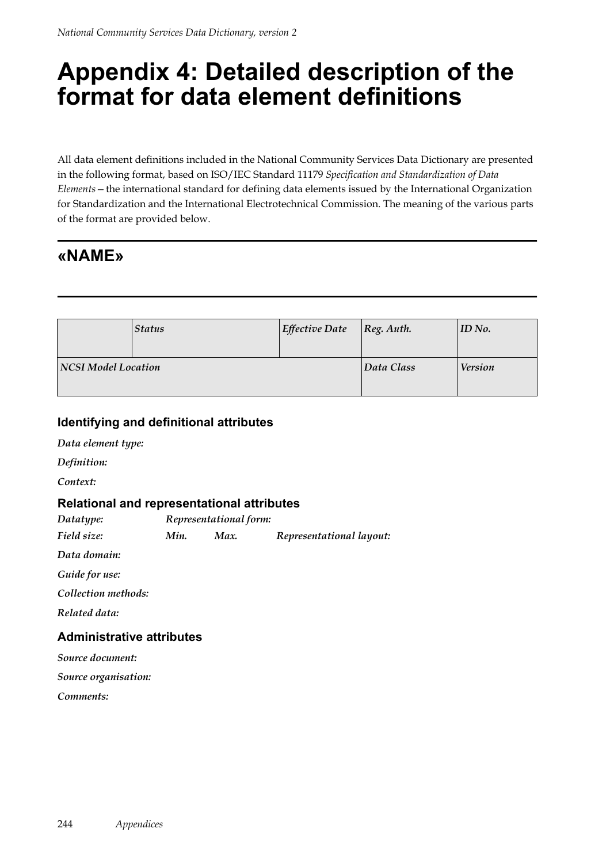## **Appendix 4: Detailed description of the format for data element definitions**

All data element definitions included in the National Community Services Data Dictionary are presented in the following format, based on ISO/IEC Standard 11179 *Specification and Standardization of Data Elements—*the international standard for defining data elements issued by the International Organization for Standardization and the International Electrotechnical Commission. The meaning of the various parts of the format are provided below.

### **«NAME»**

|                            | <b>Status</b> | <b>Effective Date</b> | $\log$ . Auth. | ID No.         |
|----------------------------|---------------|-----------------------|----------------|----------------|
| <b>NCSI Model Location</b> |               |                       | Data Class     | <b>Version</b> |

#### **Identifying and definitional attributes**

*Data element type:*

*Definition:*

*Context:*

#### **Relational and representational attributes**

*Datatype: Representational form:*

*Field size: Min. Max. Representational layout:*

*Data domain:*

*Guide for use:*

*Collection methods:*

*Related data:*

#### **Administrative attributes**

*Source document:*

*Source organisation:*

*Comments:*

244 *Appendices*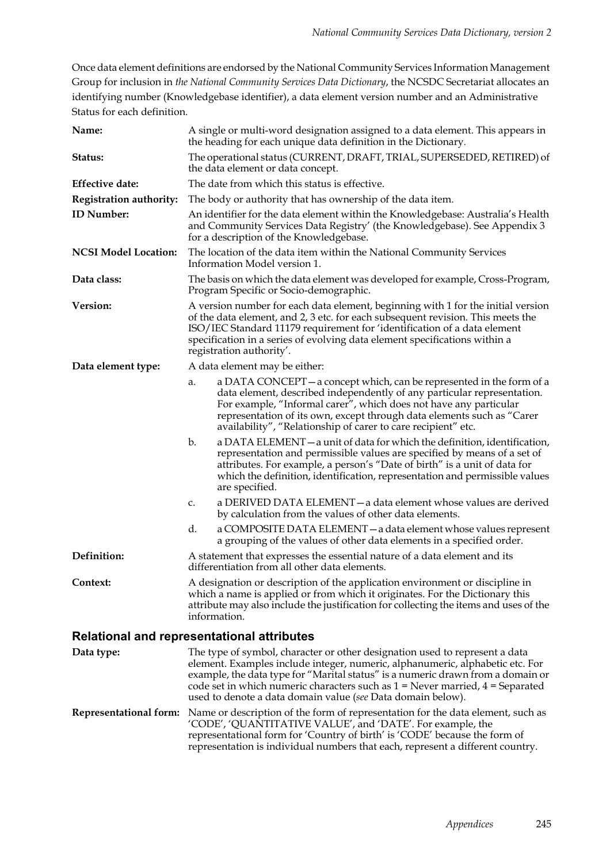Once data element definitions are endorsed by the National Community Services Information Management Group for inclusion in *the National Community Services Data Dictionary*, the NCSDC Secretariat allocates an identifying number (Knowledgebase identifier), a data element version number and an Administrative Status for each definition.

| Name:                                             |                                                                                                                                                                                                                                                                       | A single or multi-word designation assigned to a data element. This appears in<br>the heading for each unique data definition in the Dictionary.                                                                                                                                                                                                                                                    |
|---------------------------------------------------|-----------------------------------------------------------------------------------------------------------------------------------------------------------------------------------------------------------------------------------------------------------------------|-----------------------------------------------------------------------------------------------------------------------------------------------------------------------------------------------------------------------------------------------------------------------------------------------------------------------------------------------------------------------------------------------------|
| Status:                                           | The operational status (CURRENT, DRAFT, TRIAL, SUPERSEDED, RETIRED) of<br>the data element or data concept.                                                                                                                                                           |                                                                                                                                                                                                                                                                                                                                                                                                     |
| <b>Effective date:</b>                            |                                                                                                                                                                                                                                                                       | The date from which this status is effective.                                                                                                                                                                                                                                                                                                                                                       |
| <b>Registration authority:</b>                    |                                                                                                                                                                                                                                                                       | The body or authority that has ownership of the data item.                                                                                                                                                                                                                                                                                                                                          |
| <b>ID</b> Number:                                 |                                                                                                                                                                                                                                                                       | An identifier for the data element within the Knowledgebase: Australia's Health<br>and Community Services Data Registry' (the Knowledgebase). See Appendix 3<br>for a description of the Knowledgebase.                                                                                                                                                                                             |
| <b>NCSI Model Location:</b>                       |                                                                                                                                                                                                                                                                       | The location of the data item within the National Community Services<br>Information Model version 1.                                                                                                                                                                                                                                                                                                |
| Data class:                                       |                                                                                                                                                                                                                                                                       | The basis on which the data element was developed for example, Cross-Program,<br>Program Specific or Socio-demographic.                                                                                                                                                                                                                                                                             |
| Version:                                          |                                                                                                                                                                                                                                                                       | A version number for each data element, beginning with 1 for the initial version<br>of the data element, and 2, 3 etc. for each subsequent revision. This meets the<br>ISO/IEC Standard 11179 requirement for 'identification of a data element<br>specification in a series of evolving data element specifications within a<br>registration authority'.                                           |
| Data element type:                                |                                                                                                                                                                                                                                                                       | A data element may be either:                                                                                                                                                                                                                                                                                                                                                                       |
|                                                   | a.                                                                                                                                                                                                                                                                    | a DATA CONCEPT – a concept which, can be represented in the form of a<br>data element, described independently of any particular representation.<br>For example, "Informal carer", which does not have any particular<br>representation of its own, except through data elements such as "Carer<br>availability", "Relationship of carer to care recipient" etc.                                    |
|                                                   | b.                                                                                                                                                                                                                                                                    | a DATA ELEMENT – a unit of data for which the definition, identification,<br>representation and permissible values are specified by means of a set of<br>attributes. For example, a person's "Date of birth" is a unit of data for<br>which the definition, identification, representation and permissible values<br>are specified.                                                                 |
|                                                   | C.                                                                                                                                                                                                                                                                    | a DERIVED DATA ELEMENT - a data element whose values are derived<br>by calculation from the values of other data elements.                                                                                                                                                                                                                                                                          |
|                                                   | d.                                                                                                                                                                                                                                                                    | a COMPOSITE DATA ELEMENT - a data element whose values represent<br>a grouping of the values of other data elements in a specified order.                                                                                                                                                                                                                                                           |
| Definition:                                       |                                                                                                                                                                                                                                                                       | A statement that expresses the essential nature of a data element and its<br>differentiation from all other data elements.                                                                                                                                                                                                                                                                          |
| Context:                                          | A designation or description of the application environment or discipline in<br>which a name is applied or from which it originates. For the Dictionary this<br>attribute may also include the justification for collecting the items and uses of the<br>information. |                                                                                                                                                                                                                                                                                                                                                                                                     |
| <b>Relational and representational attributes</b> |                                                                                                                                                                                                                                                                       |                                                                                                                                                                                                                                                                                                                                                                                                     |
| Data type:                                        |                                                                                                                                                                                                                                                                       | The type of symbol, character or other designation used to represent a data<br>element. Examples include integer, numeric, alphanumeric, alphabetic etc. For<br>example, the data type for "Marital status" is a numeric drawn from a domain or<br>code set in which numeric characters such as $1 =$ Never married, $4 =$ Separated<br>used to denote a data domain value (see Data domain below). |
|                                                   |                                                                                                                                                                                                                                                                       | <b>Representational form:</b> Name or description of the form of representation for the data element, such as<br>'CODE', 'QUANTITATIVE VALUE', and 'DATE'. For example, the<br>representational form for 'Country of birth' is 'CODE' because the form of<br>representation is individual numbers that each, represent a different country.                                                         |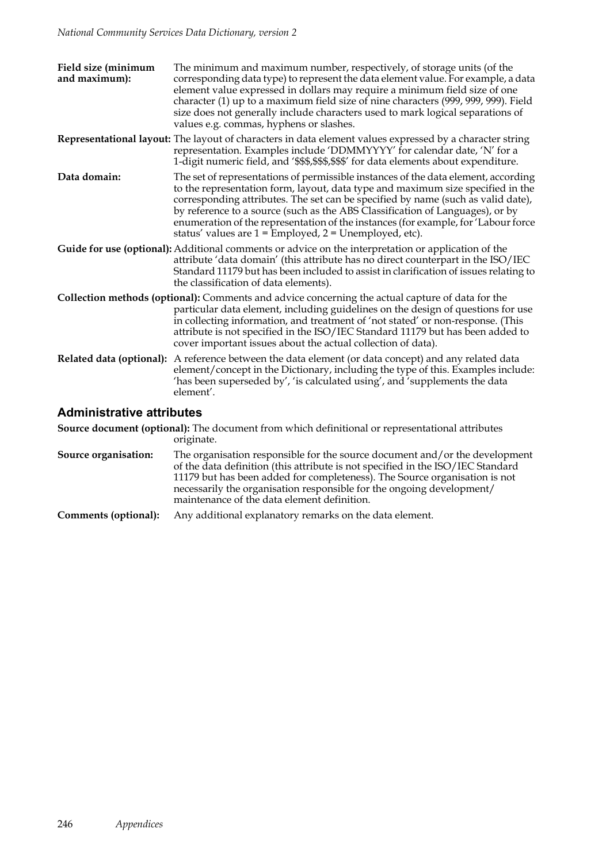| Field size (minimum<br>and maximum): | The minimum and maximum number, respectively, of storage units (of the<br>corresponding data type) to represent the data element value. For example, a data<br>element value expressed in dollars may require a minimum field size of one<br>character (1) up to a maximum field size of nine characters (999, 999, 999). Field<br>size does not generally include characters used to mark logical separations of<br>values e.g. commas, hyphens or slashes.                               |  |
|--------------------------------------|--------------------------------------------------------------------------------------------------------------------------------------------------------------------------------------------------------------------------------------------------------------------------------------------------------------------------------------------------------------------------------------------------------------------------------------------------------------------------------------------|--|
|                                      | Representational layout: The layout of characters in data element values expressed by a character string<br>representation. Examples include 'DDMMYYYY' for calendar date, 'N' for a<br>1-digit numeric field, and '\$\$\$,\$\$\$,\$\$\$' for data elements about expenditure.                                                                                                                                                                                                             |  |
| Data domain:                         | The set of representations of permissible instances of the data element, according<br>to the representation form, layout, data type and maximum size specified in the<br>corresponding attributes. The set can be specified by name (such as valid date),<br>by reference to a source (such as the ABS Classification of Languages), or by<br>enumeration of the representation of the instances (for example, for 'Labour force<br>status' values are 1 = Employed, 2 = Unemployed, etc). |  |
|                                      | Guide for use (optional): Additional comments or advice on the interpretation or application of the<br>attribute 'data domain' (this attribute has no direct counterpart in the ISO/IEC<br>Standard 11179 but has been included to assist in clarification of issues relating to<br>the classification of data elements).                                                                                                                                                                  |  |
|                                      | Collection methods (optional): Comments and advice concerning the actual capture of data for the<br>particular data element, including guidelines on the design of questions for use<br>in collecting information, and treatment of 'not stated' or non-response. (This<br>attribute is not specified in the ISO/IEC Standard 11179 but has been added to<br>cover important issues about the actual collection of data).                                                                  |  |
|                                      | Related data (optional): A reference between the data element (or data concept) and any related data<br>element/concept in the Dictionary, including the type of this. Examples include:<br>'has been superseded by', 'is calculated using', and 'supplements the data<br>element'.                                                                                                                                                                                                        |  |
| <b>Administrative attributes</b>     |                                                                                                                                                                                                                                                                                                                                                                                                                                                                                            |  |

#### **Administrative attributes**

**Source document (optional):** The document from which definitional or representational attributes originate.

- **Source organisation:** The organisation responsible for the source document and/or the development of the data definition (this attribute is not specified in the ISO/IEC Standard 11179 but has been added for completeness). The Source organisation is not necessarily the organisation responsible for the ongoing development/ maintenance of the data element definition.
- **Comments (optional):** Any additional explanatory remarks on the data element.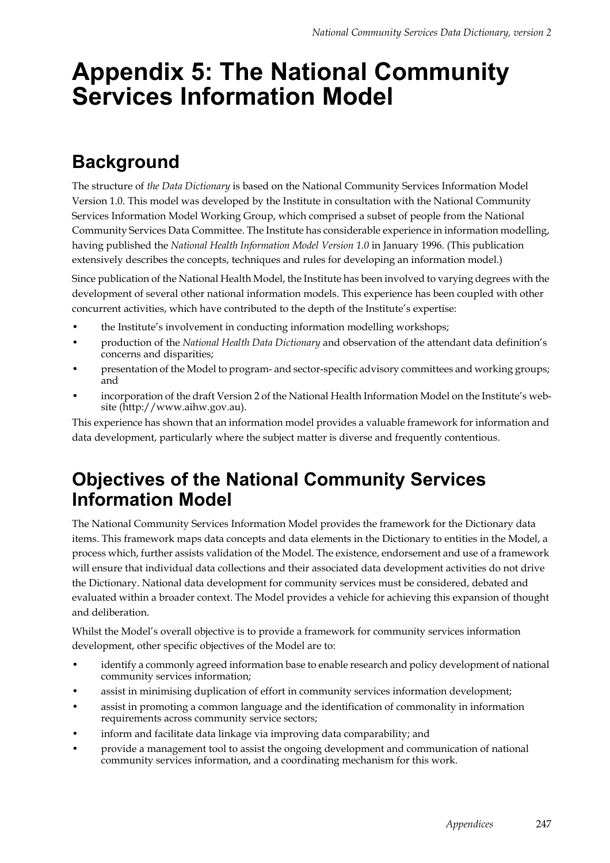## **Appendix 5: The National Community Services Information Model**

### **Background**

The structure of *the Data Dictionary* is based on the National Community Services Information Model Version 1.0. This model was developed by the Institute in consultation with the National Community Services Information Model Working Group, which comprised a subset of people from the National Community Services Data Committee. The Institute has considerable experience in information modelling, having published the *National Health Information Model Version 1.0* in January 1996. (This publication extensively describes the concepts, techniques and rules for developing an information model.)

Since publication of the National Health Model, the Institute has been involved to varying degrees with the development of several other national information models. This experience has been coupled with other concurrent activities, which have contributed to the depth of the Institute's expertise:

- the Institute's involvement in conducting information modelling workshops;
- production of the *National Health Data Dictionary* and observation of the attendant data definition's concerns and disparities;
- presentation of the Model to program- and sector-specific advisory committees and working groups; and
- incorporation of the draft Version 2 of the National Health Information Model on the Institute's website (http://www.aihw.gov.au).

This experience has shown that an information model provides a valuable framework for information and data development, particularly where the subject matter is diverse and frequently contentious.

### **Objectives of the National Community Services Information Model**

The National Community Services Information Model provides the framework for the Dictionary data items. This framework maps data concepts and data elements in the Dictionary to entities in the Model, a process which, further assists validation of the Model. The existence, endorsement and use of a framework will ensure that individual data collections and their associated data development activities do not drive the Dictionary. National data development for community services must be considered, debated and evaluated within a broader context. The Model provides a vehicle for achieving this expansion of thought and deliberation.

Whilst the Model's overall objective is to provide a framework for community services information development, other specific objectives of the Model are to:

- identify a commonly agreed information base to enable research and policy development of national community services information;
- assist in minimising duplication of effort in community services information development;
- assist in promoting a common language and the identification of commonality in information requirements across community service sectors;
- inform and facilitate data linkage via improving data comparability; and
- provide a management tool to assist the ongoing development and communication of national community services information, and a coordinating mechanism for this work.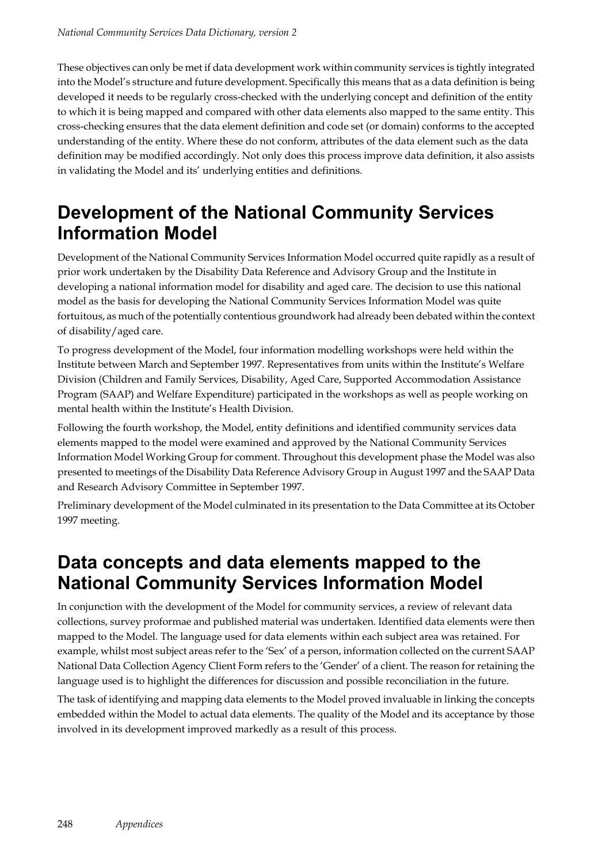These objectives can only be met if data development work within community services is tightly integrated into the Model's structure and future development. Specifically this means that as a data definition is being developed it needs to be regularly cross-checked with the underlying concept and definition of the entity to which it is being mapped and compared with other data elements also mapped to the same entity. This cross-checking ensures that the data element definition and code set (or domain) conforms to the accepted understanding of the entity. Where these do not conform, attributes of the data element such as the data definition may be modified accordingly. Not only does this process improve data definition, it also assists in validating the Model and its' underlying entities and definitions.

### **Development of the National Community Services Information Model**

Development of the National Community Services Information Model occurred quite rapidly as a result of prior work undertaken by the Disability Data Reference and Advisory Group and the Institute in developing a national information model for disability and aged care. The decision to use this national model as the basis for developing the National Community Services Information Model was quite fortuitous, as much of the potentially contentious groundwork had already been debated within the context of disability/aged care.

To progress development of the Model, four information modelling workshops were held within the Institute between March and September 1997. Representatives from units within the Institute's Welfare Division (Children and Family Services, Disability, Aged Care, Supported Accommodation Assistance Program (SAAP) and Welfare Expenditure) participated in the workshops as well as people working on mental health within the Institute's Health Division.

Following the fourth workshop, the Model, entity definitions and identified community services data elements mapped to the model were examined and approved by the National Community Services Information Model Working Group for comment. Throughout this development phase the Model was also presented to meetings of the Disability Data Reference Advisory Group in August 1997 and the SAAP Data and Research Advisory Committee in September 1997.

Preliminary development of the Model culminated in its presentation to the Data Committee at its October 1997 meeting.

### **Data concepts and data elements mapped to the National Community Services Information Model**

In conjunction with the development of the Model for community services, a review of relevant data collections, survey proformae and published material was undertaken. Identified data elements were then mapped to the Model. The language used for data elements within each subject area was retained. For example, whilst most subject areas refer to the 'Sex' of a person, information collected on the current SAAP National Data Collection Agency Client Form refers to the 'Gender' of a client. The reason for retaining the language used is to highlight the differences for discussion and possible reconciliation in the future.

The task of identifying and mapping data elements to the Model proved invaluable in linking the concepts embedded within the Model to actual data elements. The quality of the Model and its acceptance by those involved in its development improved markedly as a result of this process.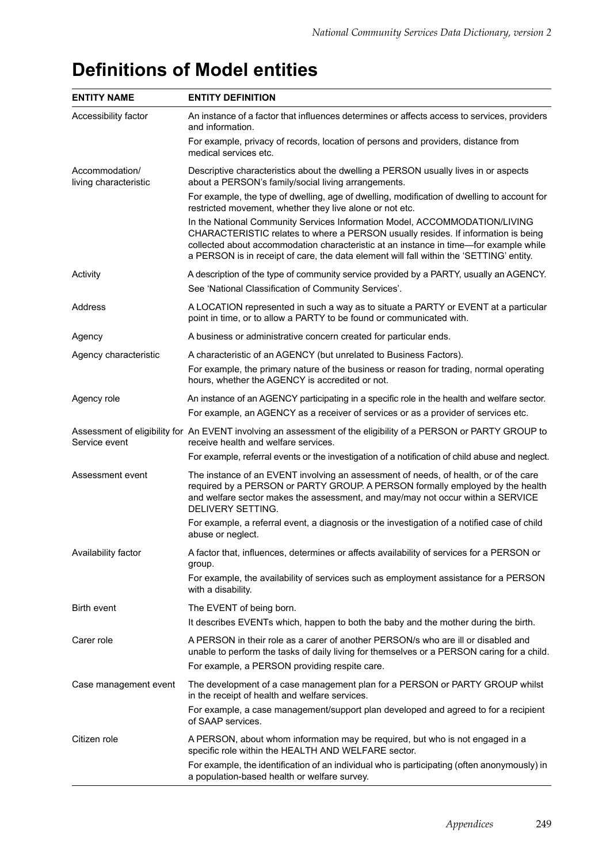| <b>ENTITY NAME</b>                      | <b>ENTITY DEFINITION</b>                                                                                                                                                                                                                                                                                                                            |
|-----------------------------------------|-----------------------------------------------------------------------------------------------------------------------------------------------------------------------------------------------------------------------------------------------------------------------------------------------------------------------------------------------------|
| Accessibility factor                    | An instance of a factor that influences determines or affects access to services, providers<br>and information.                                                                                                                                                                                                                                     |
|                                         | For example, privacy of records, location of persons and providers, distance from<br>medical services etc.                                                                                                                                                                                                                                          |
| Accommodation/<br>living characteristic | Descriptive characteristics about the dwelling a PERSON usually lives in or aspects<br>about a PERSON's family/social living arrangements.                                                                                                                                                                                                          |
|                                         | For example, the type of dwelling, age of dwelling, modification of dwelling to account for<br>restricted movement, whether they live alone or not etc.                                                                                                                                                                                             |
|                                         | In the National Community Services Information Model, ACCOMMODATION/LIVING<br>CHARACTERISTIC relates to where a PERSON usually resides. If information is being<br>collected about accommodation characteristic at an instance in time-for example while<br>a PERSON is in receipt of care, the data element will fall within the 'SETTING' entity. |
| Activity                                | A description of the type of community service provided by a PARTY, usually an AGENCY.                                                                                                                                                                                                                                                              |
|                                         | See 'National Classification of Community Services'.                                                                                                                                                                                                                                                                                                |
| Address                                 | A LOCATION represented in such a way as to situate a PARTY or EVENT at a particular<br>point in time, or to allow a PARTY to be found or communicated with.                                                                                                                                                                                         |
| Agency                                  | A business or administrative concern created for particular ends.                                                                                                                                                                                                                                                                                   |
| Agency characteristic                   | A characteristic of an AGENCY (but unrelated to Business Factors).                                                                                                                                                                                                                                                                                  |
|                                         | For example, the primary nature of the business or reason for trading, normal operating<br>hours, whether the AGENCY is accredited or not.                                                                                                                                                                                                          |
| Agency role                             | An instance of an AGENCY participating in a specific role in the health and welfare sector.<br>For example, an AGENCY as a receiver of services or as a provider of services etc.                                                                                                                                                                   |
| Service event                           | Assessment of eligibility for An EVENT involving an assessment of the eligibility of a PERSON or PARTY GROUP to<br>receive health and welfare services.                                                                                                                                                                                             |
|                                         | For example, referral events or the investigation of a notification of child abuse and neglect.                                                                                                                                                                                                                                                     |
| Assessment event                        | The instance of an EVENT involving an assessment of needs, of health, or of the care<br>required by a PERSON or PARTY GROUP. A PERSON formally employed by the health<br>and welfare sector makes the assessment, and may/may not occur within a SERVICE<br>DELIVERY SETTING.                                                                       |
|                                         | For example, a referral event, a diagnosis or the investigation of a notified case of child<br>abuse or neglect.                                                                                                                                                                                                                                    |
| Availability factor                     | A factor that, influences, determines or affects availability of services for a PERSON or<br>group.                                                                                                                                                                                                                                                 |
|                                         | For example, the availability of services such as employment assistance for a PERSON<br>with a disability.                                                                                                                                                                                                                                          |
| <b>Birth event</b>                      | The EVENT of being born.                                                                                                                                                                                                                                                                                                                            |
|                                         | It describes EVENTs which, happen to both the baby and the mother during the birth.                                                                                                                                                                                                                                                                 |
| Carer role                              | A PERSON in their role as a carer of another PERSON/s who are ill or disabled and<br>unable to perform the tasks of daily living for themselves or a PERSON caring for a child.                                                                                                                                                                     |
|                                         | For example, a PERSON providing respite care.                                                                                                                                                                                                                                                                                                       |
| Case management event                   | The development of a case management plan for a PERSON or PARTY GROUP whilst<br>in the receipt of health and welfare services.                                                                                                                                                                                                                      |
|                                         | For example, a case management/support plan developed and agreed to for a recipient<br>of SAAP services.                                                                                                                                                                                                                                            |
| Citizen role                            | A PERSON, about whom information may be required, but who is not engaged in a<br>specific role within the HEALTH AND WELFARE sector.                                                                                                                                                                                                                |
|                                         | For example, the identification of an individual who is participating (often anonymously) in<br>a population-based health or welfare survey.                                                                                                                                                                                                        |

### **Definitions of Model entities**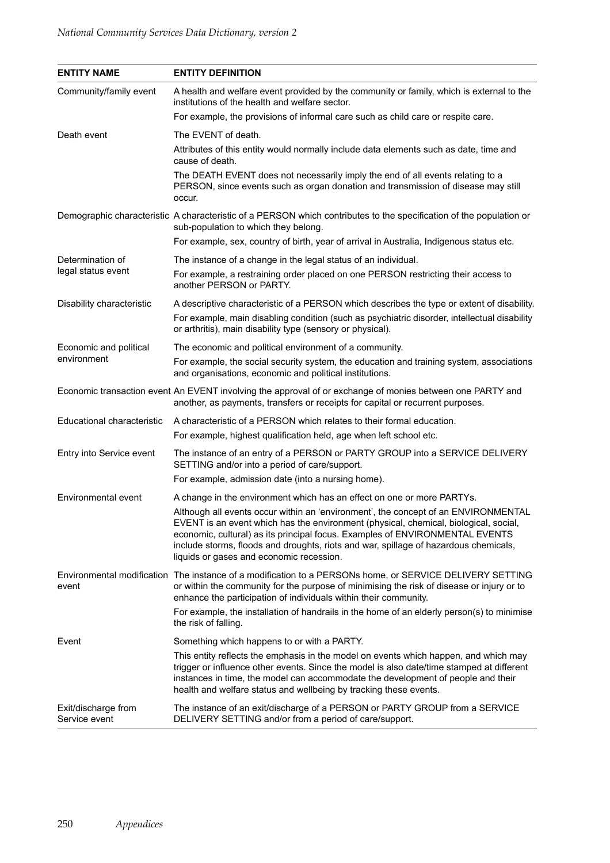| <b>ENTITY NAME</b>                   | <b>ENTITY DEFINITION</b>                                                                                                                                                                                                                                                                                                                                                                       |
|--------------------------------------|------------------------------------------------------------------------------------------------------------------------------------------------------------------------------------------------------------------------------------------------------------------------------------------------------------------------------------------------------------------------------------------------|
| Community/family event               | A health and welfare event provided by the community or family, which is external to the<br>institutions of the health and welfare sector.                                                                                                                                                                                                                                                     |
|                                      | For example, the provisions of informal care such as child care or respite care.                                                                                                                                                                                                                                                                                                               |
| Death event                          | The EVENT of death.                                                                                                                                                                                                                                                                                                                                                                            |
|                                      | Attributes of this entity would normally include data elements such as date, time and<br>cause of death.                                                                                                                                                                                                                                                                                       |
|                                      | The DEATH EVENT does not necessarily imply the end of all events relating to a<br>PERSON, since events such as organ donation and transmission of disease may still<br>occur.                                                                                                                                                                                                                  |
|                                      | Demographic characteristic A characteristic of a PERSON which contributes to the specification of the population or<br>sub-population to which they belong.                                                                                                                                                                                                                                    |
|                                      | For example, sex, country of birth, year of arrival in Australia, Indigenous status etc.                                                                                                                                                                                                                                                                                                       |
| Determination of                     | The instance of a change in the legal status of an individual.                                                                                                                                                                                                                                                                                                                                 |
| legal status event                   | For example, a restraining order placed on one PERSON restricting their access to<br>another PERSON or PARTY.                                                                                                                                                                                                                                                                                  |
| Disability characteristic            | A descriptive characteristic of a PERSON which describes the type or extent of disability.<br>For example, main disabling condition (such as psychiatric disorder, intellectual disability<br>or arthritis), main disability type (sensory or physical).                                                                                                                                       |
| Economic and political               | The economic and political environment of a community.                                                                                                                                                                                                                                                                                                                                         |
| environment                          | For example, the social security system, the education and training system, associations<br>and organisations, economic and political institutions.                                                                                                                                                                                                                                            |
|                                      | Economic transaction event An EVENT involving the approval of or exchange of monies between one PARTY and<br>another, as payments, transfers or receipts for capital or recurrent purposes.                                                                                                                                                                                                    |
| Educational characteristic           | A characteristic of a PERSON which relates to their formal education.                                                                                                                                                                                                                                                                                                                          |
|                                      | For example, highest qualification held, age when left school etc.                                                                                                                                                                                                                                                                                                                             |
| Entry into Service event             | The instance of an entry of a PERSON or PARTY GROUP into a SERVICE DELIVERY<br>SETTING and/or into a period of care/support.                                                                                                                                                                                                                                                                   |
|                                      | For example, admission date (into a nursing home).                                                                                                                                                                                                                                                                                                                                             |
| Environmental event                  | A change in the environment which has an effect on one or more PARTYs.                                                                                                                                                                                                                                                                                                                         |
|                                      | Although all events occur within an 'environment', the concept of an ENVIRONMENTAL<br>EVENT is an event which has the environment (physical, chemical, biological, social,<br>economic, cultural) as its principal focus. Examples of ENVIRONMENTAL EVENTS<br>include storms, floods and droughts, riots and war, spillage of hazardous chemicals,<br>liquids or gases and economic recession. |
| event                                | Environmental modification The instance of a modification to a PERSONs home, or SERVICE DELIVERY SETTING<br>or within the community for the purpose of minimising the risk of disease or injury or to<br>enhance the participation of individuals within their community.                                                                                                                      |
|                                      | For example, the installation of handrails in the home of an elderly person(s) to minimise<br>the risk of falling.                                                                                                                                                                                                                                                                             |
| Event                                | Something which happens to or with a PARTY.                                                                                                                                                                                                                                                                                                                                                    |
|                                      | This entity reflects the emphasis in the model on events which happen, and which may<br>trigger or influence other events. Since the model is also date/time stamped at different<br>instances in time, the model can accommodate the development of people and their<br>health and welfare status and wellbeing by tracking these events.                                                     |
| Exit/discharge from<br>Service event | The instance of an exit/discharge of a PERSON or PARTY GROUP from a SERVICE<br>DELIVERY SETTING and/or from a period of care/support.                                                                                                                                                                                                                                                          |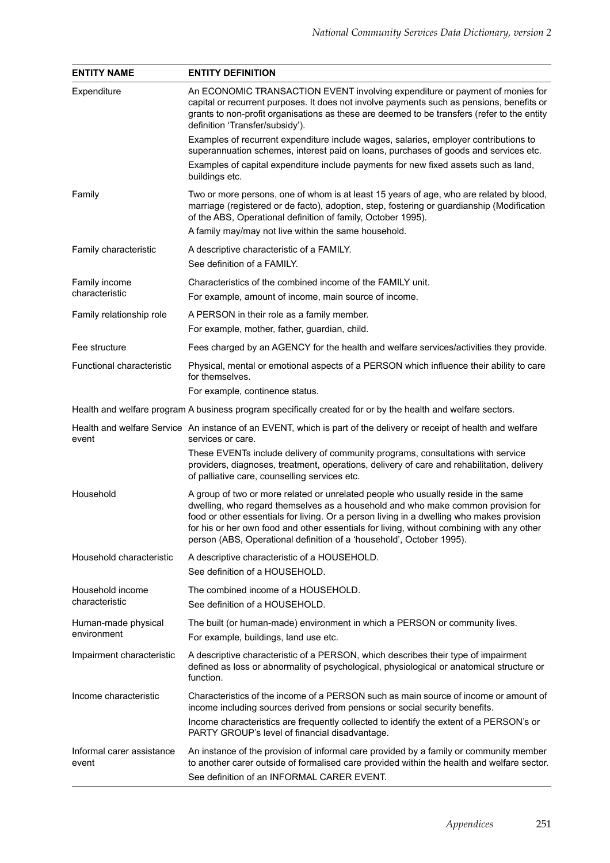| <b>ENTITY NAME</b>                 | <b>ENTITY DEFINITION</b>                                                                                                                                                                                                                                                                                                                                                                                                                |
|------------------------------------|-----------------------------------------------------------------------------------------------------------------------------------------------------------------------------------------------------------------------------------------------------------------------------------------------------------------------------------------------------------------------------------------------------------------------------------------|
| Expenditure                        | An ECONOMIC TRANSACTION EVENT involving expenditure or payment of monies for<br>capital or recurrent purposes. It does not involve payments such as pensions, benefits or<br>grants to non-profit organisations as these are deemed to be transfers (refer to the entity<br>definition 'Transfer/subsidy').                                                                                                                             |
|                                    | Examples of recurrent expenditure include wages, salaries, employer contributions to<br>superannuation schemes, interest paid on loans, purchases of goods and services etc.                                                                                                                                                                                                                                                            |
|                                    | Examples of capital expenditure include payments for new fixed assets such as land,<br>buildings etc.                                                                                                                                                                                                                                                                                                                                   |
| Family                             | Two or more persons, one of whom is at least 15 years of age, who are related by blood,<br>marriage (registered or de facto), adoption, step, fostering or guardianship (Modification<br>of the ABS, Operational definition of family, October 1995).                                                                                                                                                                                   |
|                                    | A family may/may not live within the same household.                                                                                                                                                                                                                                                                                                                                                                                    |
| Family characteristic              | A descriptive characteristic of a FAMILY.<br>See definition of a FAMILY.                                                                                                                                                                                                                                                                                                                                                                |
| Family income                      | Characteristics of the combined income of the FAMILY unit.                                                                                                                                                                                                                                                                                                                                                                              |
| characteristic                     | For example, amount of income, main source of income.                                                                                                                                                                                                                                                                                                                                                                                   |
| Family relationship role           | A PERSON in their role as a family member.                                                                                                                                                                                                                                                                                                                                                                                              |
|                                    | For example, mother, father, guardian, child.                                                                                                                                                                                                                                                                                                                                                                                           |
| Fee structure                      | Fees charged by an AGENCY for the health and welfare services/activities they provide.                                                                                                                                                                                                                                                                                                                                                  |
| Functional characteristic          | Physical, mental or emotional aspects of a PERSON which influence their ability to care<br>for themselves.                                                                                                                                                                                                                                                                                                                              |
|                                    | For example, continence status.                                                                                                                                                                                                                                                                                                                                                                                                         |
|                                    | Health and welfare program A business program specifically created for or by the health and welfare sectors.                                                                                                                                                                                                                                                                                                                            |
| event                              | Health and welfare Service An instance of an EVENT, which is part of the delivery or receipt of health and welfare<br>services or care.                                                                                                                                                                                                                                                                                                 |
|                                    | These EVENTs include delivery of community programs, consultations with service<br>providers, diagnoses, treatment, operations, delivery of care and rehabilitation, delivery<br>of palliative care, counselling services etc.                                                                                                                                                                                                          |
| Household                          | A group of two or more related or unrelated people who usually reside in the same<br>dwelling, who regard themselves as a household and who make common provision for<br>food or other essentials for living. Or a person living in a dwelling who makes provision<br>for his or her own food and other essentials for living, without combining with any other<br>person (ABS, Operational definition of a 'household', October 1995). |
| Household characteristic           | A descriptive characteristic of a HOUSEHOLD.<br>See definition of a HOUSEHOLD.                                                                                                                                                                                                                                                                                                                                                          |
| Household income<br>characteristic | The combined income of a HOUSEHOLD.<br>See definition of a HOUSEHOLD.                                                                                                                                                                                                                                                                                                                                                                   |
| Human-made physical                | The built (or human-made) environment in which a PERSON or community lives.                                                                                                                                                                                                                                                                                                                                                             |
| environment                        | For example, buildings, land use etc.                                                                                                                                                                                                                                                                                                                                                                                                   |
| Impairment characteristic          | A descriptive characteristic of a PERSON, which describes their type of impairment<br>defined as loss or abnormality of psychological, physiological or anatomical structure or<br>function.                                                                                                                                                                                                                                            |
| Income characteristic              | Characteristics of the income of a PERSON such as main source of income or amount of<br>income including sources derived from pensions or social security benefits.                                                                                                                                                                                                                                                                     |
|                                    | Income characteristics are frequently collected to identify the extent of a PERSON's or<br>PARTY GROUP's level of financial disadvantage.                                                                                                                                                                                                                                                                                               |
| Informal carer assistance<br>event | An instance of the provision of informal care provided by a family or community member<br>to another carer outside of formalised care provided within the health and welfare sector.<br>See definition of an INFORMAL CARER EVENT.                                                                                                                                                                                                      |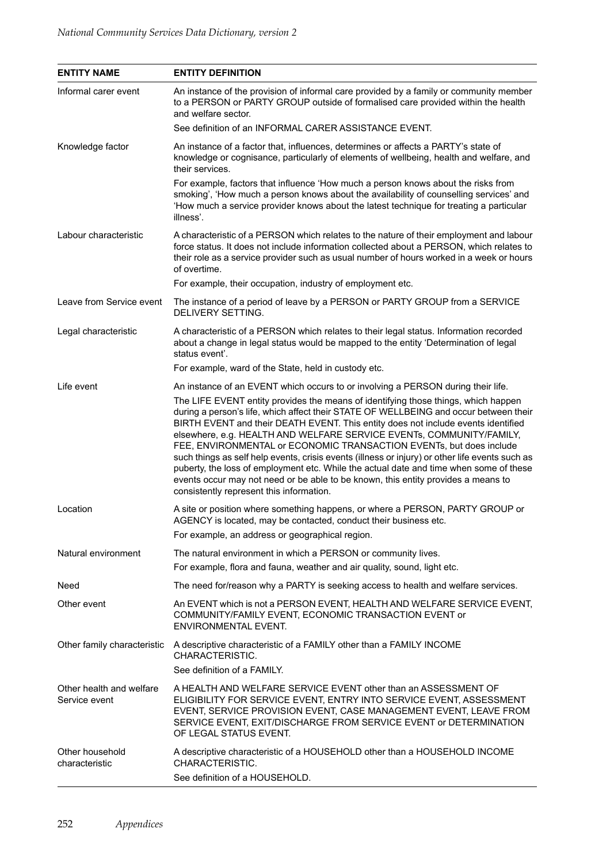| <b>ENTITY NAME</b>                        | <b>ENTITY DEFINITION</b>                                                                                                                                                                                                                                                                                                                                                                                                                                                                                                                                                                                                                                                                                                                      |
|-------------------------------------------|-----------------------------------------------------------------------------------------------------------------------------------------------------------------------------------------------------------------------------------------------------------------------------------------------------------------------------------------------------------------------------------------------------------------------------------------------------------------------------------------------------------------------------------------------------------------------------------------------------------------------------------------------------------------------------------------------------------------------------------------------|
| Informal carer event                      | An instance of the provision of informal care provided by a family or community member<br>to a PERSON or PARTY GROUP outside of formalised care provided within the health<br>and welfare sector.                                                                                                                                                                                                                                                                                                                                                                                                                                                                                                                                             |
|                                           | See definition of an INFORMAL CARER ASSISTANCE EVENT.                                                                                                                                                                                                                                                                                                                                                                                                                                                                                                                                                                                                                                                                                         |
| Knowledge factor                          | An instance of a factor that, influences, determines or affects a PARTY's state of<br>knowledge or cognisance, particularly of elements of wellbeing, health and welfare, and<br>their services.                                                                                                                                                                                                                                                                                                                                                                                                                                                                                                                                              |
|                                           | For example, factors that influence 'How much a person knows about the risks from<br>smoking', 'How much a person knows about the availability of counselling services' and<br>'How much a service provider knows about the latest technique for treating a particular<br>illness'.                                                                                                                                                                                                                                                                                                                                                                                                                                                           |
| Labour characteristic                     | A characteristic of a PERSON which relates to the nature of their employment and labour<br>force status. It does not include information collected about a PERSON, which relates to<br>their role as a service provider such as usual number of hours worked in a week or hours<br>of overtime.                                                                                                                                                                                                                                                                                                                                                                                                                                               |
|                                           | For example, their occupation, industry of employment etc.                                                                                                                                                                                                                                                                                                                                                                                                                                                                                                                                                                                                                                                                                    |
| Leave from Service event                  | The instance of a period of leave by a PERSON or PARTY GROUP from a SERVICE<br>DELIVERY SETTING.                                                                                                                                                                                                                                                                                                                                                                                                                                                                                                                                                                                                                                              |
| Legal characteristic                      | A characteristic of a PERSON which relates to their legal status. Information recorded<br>about a change in legal status would be mapped to the entity 'Determination of legal<br>status event'.                                                                                                                                                                                                                                                                                                                                                                                                                                                                                                                                              |
|                                           | For example, ward of the State, held in custody etc.                                                                                                                                                                                                                                                                                                                                                                                                                                                                                                                                                                                                                                                                                          |
| Life event                                | An instance of an EVENT which occurs to or involving a PERSON during their life.                                                                                                                                                                                                                                                                                                                                                                                                                                                                                                                                                                                                                                                              |
|                                           | The LIFE EVENT entity provides the means of identifying those things, which happen<br>during a person's life, which affect their STATE OF WELLBEING and occur between their<br>BIRTH EVENT and their DEATH EVENT. This entity does not include events identified<br>elsewhere, e.g. HEALTH AND WELFARE SERVICE EVENTs, COMMUNITY/FAMILY,<br>FEE, ENVIRONMENTAL or ECONOMIC TRANSACTION EVENTs, but does include<br>such things as self help events, crisis events (illness or injury) or other life events such as<br>puberty, the loss of employment etc. While the actual date and time when some of these<br>events occur may not need or be able to be known, this entity provides a means to<br>consistently represent this information. |
| Location                                  | A site or position where something happens, or where a PERSON, PARTY GROUP or<br>AGENCY is located, may be contacted, conduct their business etc.<br>For example, an address or geographical region.                                                                                                                                                                                                                                                                                                                                                                                                                                                                                                                                          |
| Natural environment                       | The natural environment in which a PERSON or community lives.<br>For example, flora and fauna, weather and air quality, sound, light etc.                                                                                                                                                                                                                                                                                                                                                                                                                                                                                                                                                                                                     |
| Need                                      | The need for/reason why a PARTY is seeking access to health and welfare services.                                                                                                                                                                                                                                                                                                                                                                                                                                                                                                                                                                                                                                                             |
| Other event                               | An EVENT which is not a PERSON EVENT, HEALTH AND WELFARE SERVICE EVENT,<br>COMMUNITY/FAMILY EVENT, ECONOMIC TRANSACTION EVENT or<br><b>ENVIRONMENTAL EVENT.</b>                                                                                                                                                                                                                                                                                                                                                                                                                                                                                                                                                                               |
| Other family characteristic               | A descriptive characteristic of a FAMILY other than a FAMILY INCOME<br>CHARACTERISTIC.                                                                                                                                                                                                                                                                                                                                                                                                                                                                                                                                                                                                                                                        |
|                                           | See definition of a FAMILY.                                                                                                                                                                                                                                                                                                                                                                                                                                                                                                                                                                                                                                                                                                                   |
| Other health and welfare<br>Service event | A HEALTH AND WELFARE SERVICE EVENT other than an ASSESSMENT OF<br>ELIGIBILITY FOR SERVICE EVENT, ENTRY INTO SERVICE EVENT, ASSESSMENT<br>EVENT, SERVICE PROVISION EVENT, CASE MANAGEMENT EVENT, LEAVE FROM<br>SERVICE EVENT, EXIT/DISCHARGE FROM SERVICE EVENT or DETERMINATION<br>OF LEGAL STATUS EVENT.                                                                                                                                                                                                                                                                                                                                                                                                                                     |
| Other household<br>characteristic         | A descriptive characteristic of a HOUSEHOLD other than a HOUSEHOLD INCOME<br>CHARACTERISTIC.<br>See definition of a HOUSEHOLD.                                                                                                                                                                                                                                                                                                                                                                                                                                                                                                                                                                                                                |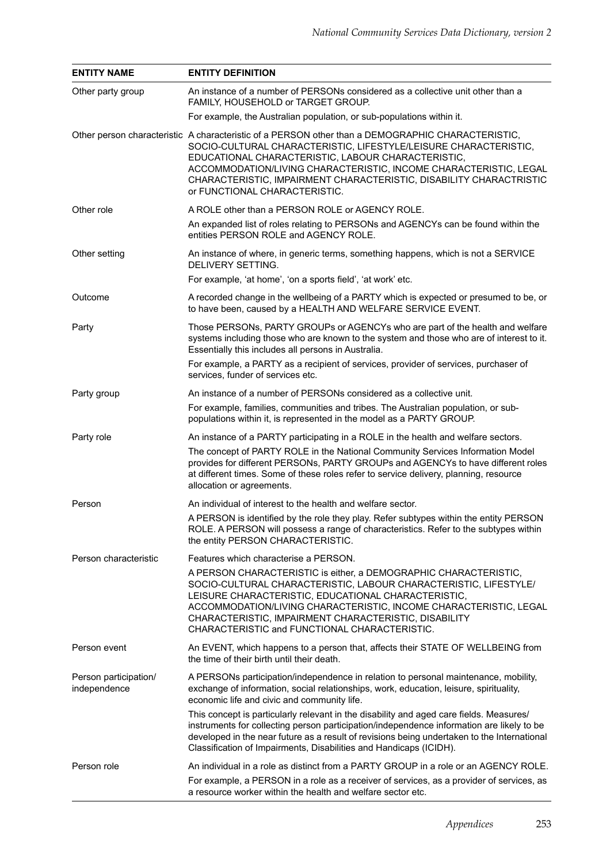| <b>ENTITY NAME</b>                    | <b>ENTITY DEFINITION</b>                                                                                                                                                                                                                                                                                                                                                                                 |
|---------------------------------------|----------------------------------------------------------------------------------------------------------------------------------------------------------------------------------------------------------------------------------------------------------------------------------------------------------------------------------------------------------------------------------------------------------|
| Other party group                     | An instance of a number of PERSONs considered as a collective unit other than a<br>FAMILY, HOUSEHOLD or TARGET GROUP.                                                                                                                                                                                                                                                                                    |
|                                       | For example, the Australian population, or sub-populations within it.                                                                                                                                                                                                                                                                                                                                    |
|                                       | Other person characteristic A characteristic of a PERSON other than a DEMOGRAPHIC CHARACTERISTIC,<br>SOCIO-CULTURAL CHARACTERISTIC, LIFESTYLE/LEISURE CHARACTERISTIC,<br>EDUCATIONAL CHARACTERISTIC, LABOUR CHARACTERISTIC,<br>ACCOMMODATION/LIVING CHARACTERISTIC, INCOME CHARACTERISTIC, LEGAL<br>CHARACTERISTIC, IMPAIRMENT CHARACTERISTIC, DISABILITY CHARACTRISTIC<br>or FUNCTIONAL CHARACTERISTIC. |
| Other role                            | A ROLE other than a PERSON ROLE or AGENCY ROLE.                                                                                                                                                                                                                                                                                                                                                          |
|                                       | An expanded list of roles relating to PERSONs and AGENCYs can be found within the<br>entities PERSON ROLE and AGENCY ROLE.                                                                                                                                                                                                                                                                               |
| Other setting                         | An instance of where, in generic terms, something happens, which is not a SERVICE<br>DELIVERY SETTING.                                                                                                                                                                                                                                                                                                   |
|                                       | For example, 'at home', 'on a sports field', 'at work' etc.                                                                                                                                                                                                                                                                                                                                              |
| Outcome                               | A recorded change in the wellbeing of a PARTY which is expected or presumed to be, or<br>to have been, caused by a HEALTH AND WELFARE SERVICE EVENT.                                                                                                                                                                                                                                                     |
| Party                                 | Those PERSONs, PARTY GROUPs or AGENCYs who are part of the health and welfare<br>systems including those who are known to the system and those who are of interest to it.<br>Essentially this includes all persons in Australia.                                                                                                                                                                         |
|                                       | For example, a PARTY as a recipient of services, provider of services, purchaser of<br>services, funder of services etc.                                                                                                                                                                                                                                                                                 |
| Party group                           | An instance of a number of PERSONs considered as a collective unit.                                                                                                                                                                                                                                                                                                                                      |
|                                       | For example, families, communities and tribes. The Australian population, or sub-<br>populations within it, is represented in the model as a PARTY GROUP.                                                                                                                                                                                                                                                |
| Party role                            | An instance of a PARTY participating in a ROLE in the health and welfare sectors.                                                                                                                                                                                                                                                                                                                        |
|                                       | The concept of PARTY ROLE in the National Community Services Information Model<br>provides for different PERSONs, PARTY GROUPs and AGENCYs to have different roles<br>at different times. Some of these roles refer to service delivery, planning, resource<br>allocation or agreements.                                                                                                                 |
| Person                                | An individual of interest to the health and welfare sector.                                                                                                                                                                                                                                                                                                                                              |
|                                       | A PERSON is identified by the role they play. Refer subtypes within the entity PERSON<br>ROLE. A PERSON will possess a range of characteristics. Refer to the subtypes within<br>the entity PERSON CHARACTERISTIC.                                                                                                                                                                                       |
| Person characteristic                 | Features which characterise a PERSON.                                                                                                                                                                                                                                                                                                                                                                    |
|                                       | A PERSON CHARACTERISTIC is either, a DEMOGRAPHIC CHARACTERISTIC,<br>SOCIO-CULTURAL CHARACTERISTIC, LABOUR CHARACTERISTIC, LIFESTYLE/<br>LEISURE CHARACTERISTIC, EDUCATIONAL CHARACTERISTIC,<br>ACCOMMODATION/LIVING CHARACTERISTIC, INCOME CHARACTERISTIC, LEGAL<br>CHARACTERISTIC, IMPAIRMENT CHARACTERISTIC, DISABILITY<br>CHARACTERISTIC and FUNCTIONAL CHARACTERISTIC.                               |
| Person event                          | An EVENT, which happens to a person that, affects their STATE OF WELLBEING from<br>the time of their birth until their death.                                                                                                                                                                                                                                                                            |
| Person participation/<br>independence | A PERSONs participation/independence in relation to personal maintenance, mobility,<br>exchange of information, social relationships, work, education, leisure, spirituality,<br>economic life and civic and community life.                                                                                                                                                                             |
|                                       | This concept is particularly relevant in the disability and aged care fields. Measures/<br>instruments for collecting person participation/independence information are likely to be<br>developed in the near future as a result of revisions being undertaken to the International<br>Classification of Impairments, Disabilities and Handicaps (ICIDH).                                                |
| Person role                           | An individual in a role as distinct from a PARTY GROUP in a role or an AGENCY ROLE.<br>For example, a PERSON in a role as a receiver of services, as a provider of services, as<br>a resource worker within the health and welfare sector etc.                                                                                                                                                           |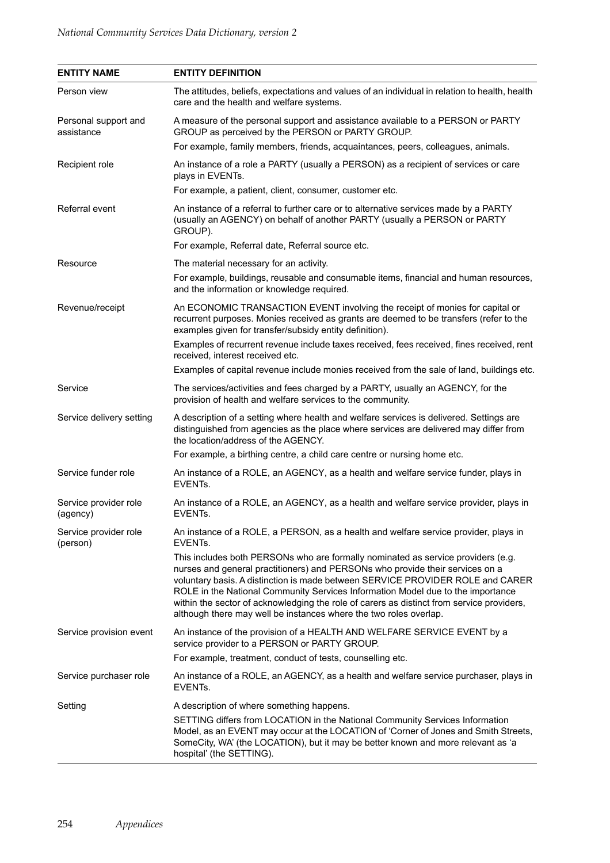| <b>ENTITY NAME</b>                 | <b>ENTITY DEFINITION</b>                                                                                                                                                                                                                                                                                                                                                                                                                                                                                 |
|------------------------------------|----------------------------------------------------------------------------------------------------------------------------------------------------------------------------------------------------------------------------------------------------------------------------------------------------------------------------------------------------------------------------------------------------------------------------------------------------------------------------------------------------------|
| Person view                        | The attitudes, beliefs, expectations and values of an individual in relation to health, health<br>care and the health and welfare systems.                                                                                                                                                                                                                                                                                                                                                               |
| Personal support and<br>assistance | A measure of the personal support and assistance available to a PERSON or PARTY<br>GROUP as perceived by the PERSON or PARTY GROUP.                                                                                                                                                                                                                                                                                                                                                                      |
|                                    | For example, family members, friends, acquaintances, peers, colleagues, animals.                                                                                                                                                                                                                                                                                                                                                                                                                         |
| Recipient role                     | An instance of a role a PARTY (usually a PERSON) as a recipient of services or care<br>plays in EVENTs.                                                                                                                                                                                                                                                                                                                                                                                                  |
|                                    | For example, a patient, client, consumer, customer etc.                                                                                                                                                                                                                                                                                                                                                                                                                                                  |
| Referral event                     | An instance of a referral to further care or to alternative services made by a PARTY<br>(usually an AGENCY) on behalf of another PARTY (usually a PERSON or PARTY<br>GROUP).                                                                                                                                                                                                                                                                                                                             |
|                                    | For example, Referral date, Referral source etc.                                                                                                                                                                                                                                                                                                                                                                                                                                                         |
| Resource                           | The material necessary for an activity.                                                                                                                                                                                                                                                                                                                                                                                                                                                                  |
|                                    | For example, buildings, reusable and consumable items, financial and human resources,<br>and the information or knowledge required.                                                                                                                                                                                                                                                                                                                                                                      |
| Revenue/receipt                    | An ECONOMIC TRANSACTION EVENT involving the receipt of monies for capital or<br>recurrent purposes. Monies received as grants are deemed to be transfers (refer to the<br>examples given for transfer/subsidy entity definition).                                                                                                                                                                                                                                                                        |
|                                    | Examples of recurrent revenue include taxes received, fees received, fines received, rent<br>received, interest received etc.                                                                                                                                                                                                                                                                                                                                                                            |
|                                    | Examples of capital revenue include monies received from the sale of land, buildings etc.                                                                                                                                                                                                                                                                                                                                                                                                                |
| Service                            | The services/activities and fees charged by a PARTY, usually an AGENCY, for the<br>provision of health and welfare services to the community.                                                                                                                                                                                                                                                                                                                                                            |
| Service delivery setting           | A description of a setting where health and welfare services is delivered. Settings are<br>distinguished from agencies as the place where services are delivered may differ from<br>the location/address of the AGENCY.                                                                                                                                                                                                                                                                                  |
|                                    | For example, a birthing centre, a child care centre or nursing home etc.                                                                                                                                                                                                                                                                                                                                                                                                                                 |
| Service funder role                | An instance of a ROLE, an AGENCY, as a health and welfare service funder, plays in<br>EVENTs.                                                                                                                                                                                                                                                                                                                                                                                                            |
| Service provider role<br>(agency)  | An instance of a ROLE, an AGENCY, as a health and welfare service provider, plays in<br>EVENTS.                                                                                                                                                                                                                                                                                                                                                                                                          |
| Service provider role<br>(person)  | An instance of a ROLE, a PERSON, as a health and welfare service provider, plays in<br>EVENTs.                                                                                                                                                                                                                                                                                                                                                                                                           |
|                                    | This includes both PERSONs who are formally nominated as service providers (e.g.<br>nurses and general practitioners) and PERSONs who provide their services on a<br>voluntary basis. A distinction is made between SERVICE PROVIDER ROLE and CARER<br>ROLE in the National Community Services Information Model due to the importance<br>within the sector of acknowledging the role of carers as distinct from service providers,<br>although there may well be instances where the two roles overlap. |
| Service provision event            | An instance of the provision of a HEALTH AND WELFARE SERVICE EVENT by a<br>service provider to a PERSON or PARTY GROUP.                                                                                                                                                                                                                                                                                                                                                                                  |
|                                    | For example, treatment, conduct of tests, counselling etc.                                                                                                                                                                                                                                                                                                                                                                                                                                               |
| Service purchaser role             | An instance of a ROLE, an AGENCY, as a health and welfare service purchaser, plays in<br>EVENTs.                                                                                                                                                                                                                                                                                                                                                                                                         |
| Setting                            | A description of where something happens.                                                                                                                                                                                                                                                                                                                                                                                                                                                                |
|                                    | SETTING differs from LOCATION in the National Community Services Information<br>Model, as an EVENT may occur at the LOCATION of 'Corner of Jones and Smith Streets,<br>SomeCity, WA' (the LOCATION), but it may be better known and more relevant as 'a<br>hospital' (the SETTING).                                                                                                                                                                                                                      |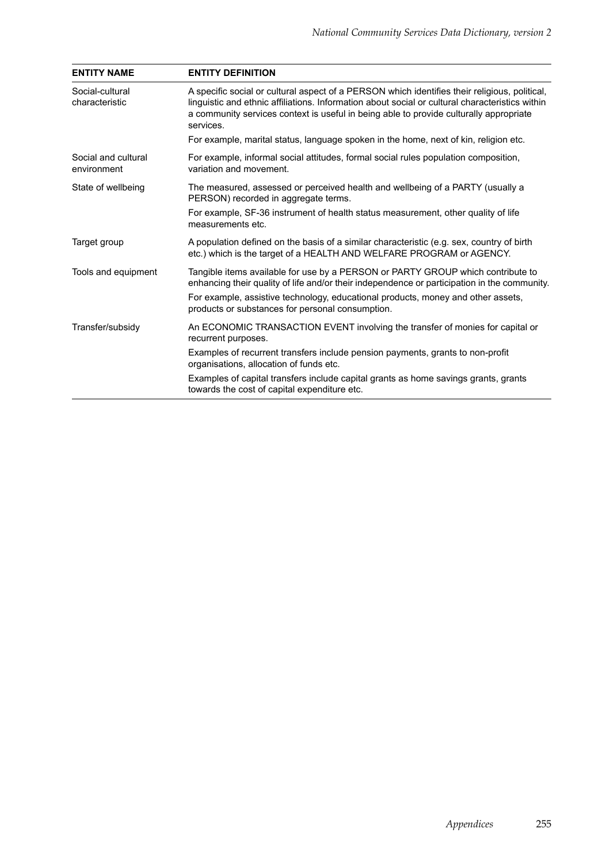| <b>ENTITY NAME</b>                 | <b>ENTITY DEFINITION</b>                                                                                                                                                                                                                                                                                |
|------------------------------------|---------------------------------------------------------------------------------------------------------------------------------------------------------------------------------------------------------------------------------------------------------------------------------------------------------|
| Social-cultural<br>characteristic  | A specific social or cultural aspect of a PERSON which identifies their religious, political,<br>linguistic and ethnic affiliations. Information about social or cultural characteristics within<br>a community services context is useful in being able to provide culturally appropriate<br>services. |
|                                    | For example, marital status, language spoken in the home, next of kin, religion etc.                                                                                                                                                                                                                    |
| Social and cultural<br>environment | For example, informal social attitudes, formal social rules population composition,<br>variation and movement.                                                                                                                                                                                          |
| State of wellbeing                 | The measured, assessed or perceived health and wellbeing of a PARTY (usually a<br>PERSON) recorded in aggregate terms.                                                                                                                                                                                  |
|                                    | For example, SF-36 instrument of health status measurement, other quality of life<br>measurements etc.                                                                                                                                                                                                  |
| Target group                       | A population defined on the basis of a similar characteristic (e.g. sex, country of birth<br>etc.) which is the target of a HEALTH AND WELFARE PROGRAM or AGENCY.                                                                                                                                       |
| Tools and equipment                | Tangible items available for use by a PERSON or PARTY GROUP which contribute to<br>enhancing their quality of life and/or their independence or participation in the community.                                                                                                                         |
|                                    | For example, assistive technology, educational products, money and other assets,<br>products or substances for personal consumption.                                                                                                                                                                    |
| Transfer/subsidy                   | An ECONOMIC TRANSACTION EVENT involving the transfer of monies for capital or<br>recurrent purposes.                                                                                                                                                                                                    |
|                                    | Examples of recurrent transfers include pension payments, grants to non-profit<br>organisations, allocation of funds etc.                                                                                                                                                                               |
|                                    | Examples of capital transfers include capital grants as home savings grants, grants<br>towards the cost of capital expenditure etc.                                                                                                                                                                     |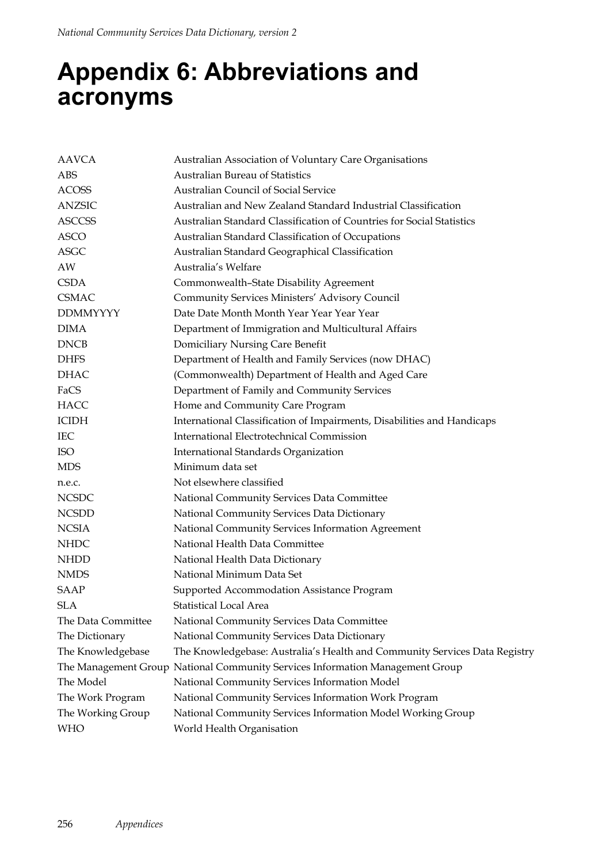## **Appendix 6: Abbreviations and acronyms**

| <b>AAVCA</b>       | Australian Association of Voluntary Care Organisations                        |
|--------------------|-------------------------------------------------------------------------------|
| <b>ABS</b>         | Australian Bureau of Statistics                                               |
| <b>ACOSS</b>       | <b>Australian Council of Social Service</b>                                   |
| <b>ANZSIC</b>      | Australian and New Zealand Standard Industrial Classification                 |
| <b>ASCCSS</b>      | Australian Standard Classification of Countries for Social Statistics         |
| <b>ASCO</b>        | Australian Standard Classification of Occupations                             |
| <b>ASGC</b>        | Australian Standard Geographical Classification                               |
| AW                 | Australia's Welfare                                                           |
| <b>CSDA</b>        | Commonwealth-State Disability Agreement                                       |
| <b>CSMAC</b>       | Community Services Ministers' Advisory Council                                |
| <b>DDMMYYYY</b>    | Date Date Month Month Year Year Year Year                                     |
| <b>DIMA</b>        | Department of Immigration and Multicultural Affairs                           |
| <b>DNCB</b>        | Domiciliary Nursing Care Benefit                                              |
| <b>DHFS</b>        | Department of Health and Family Services (now DHAC)                           |
| <b>DHAC</b>        | (Commonwealth) Department of Health and Aged Care                             |
| FaCS               | Department of Family and Community Services                                   |
| <b>HACC</b>        | Home and Community Care Program                                               |
| <b>ICIDH</b>       | International Classification of Impairments, Disabilities and Handicaps       |
| <b>IEC</b>         | International Electrotechnical Commission                                     |
| <b>ISO</b>         | International Standards Organization                                          |
| <b>MDS</b>         | Minimum data set                                                              |
| n.e.c.             | Not elsewhere classified                                                      |
| <b>NCSDC</b>       | National Community Services Data Committee                                    |
| <b>NCSDD</b>       | National Community Services Data Dictionary                                   |
| <b>NCSIA</b>       | National Community Services Information Agreement                             |
| <b>NHDC</b>        | National Health Data Committee                                                |
| <b>NHDD</b>        | National Health Data Dictionary                                               |
| <b>NMDS</b>        | National Minimum Data Set                                                     |
| <b>SAAP</b>        | Supported Accommodation Assistance Program                                    |
| <b>SLA</b>         | <b>Statistical Local Area</b>                                                 |
| The Data Committee | National Community Services Data Committee                                    |
| The Dictionary     | National Community Services Data Dictionary                                   |
| The Knowledgebase  | The Knowledgebase: Australia's Health and Community Services Data Registry    |
|                    | The Management Group National Community Services Information Management Group |
| The Model          | National Community Services Information Model                                 |
| The Work Program   | National Community Services Information Work Program                          |
| The Working Group  | National Community Services Information Model Working Group                   |
| WHO                | World Health Organisation                                                     |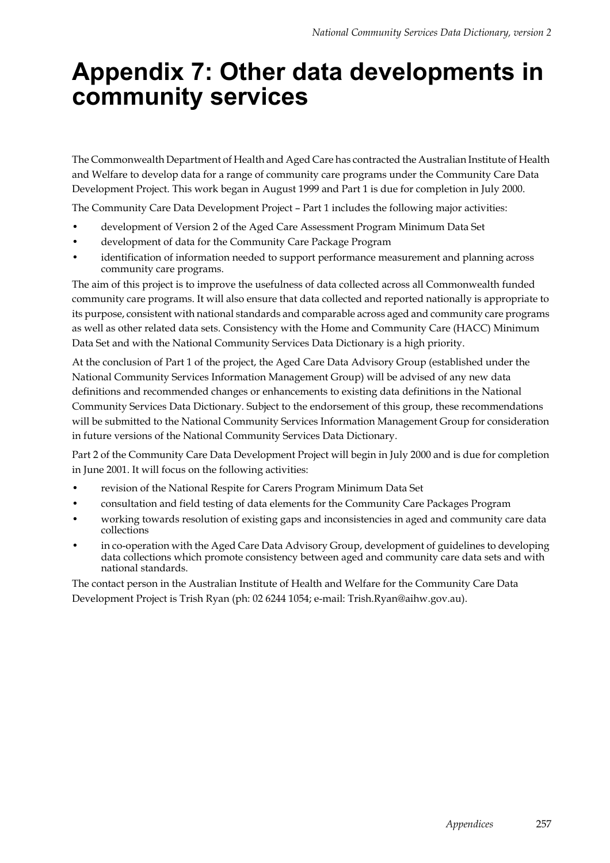## **Appendix 7: Other data developments in community services**

The Commonwealth Department of Health and Aged Care has contracted the Australian Institute of Health and Welfare to develop data for a range of community care programs under the Community Care Data Development Project. This work began in August 1999 and Part 1 is due for completion in July 2000.

The Community Care Data Development Project – Part 1 includes the following major activities:

- development of Version 2 of the Aged Care Assessment Program Minimum Data Set
- development of data for the Community Care Package Program
- identification of information needed to support performance measurement and planning across community care programs.

The aim of this project is to improve the usefulness of data collected across all Commonwealth funded community care programs. It will also ensure that data collected and reported nationally is appropriate to its purpose, consistent with national standards and comparable across aged and community care programs as well as other related data sets. Consistency with the Home and Community Care (HACC) Minimum Data Set and with the National Community Services Data Dictionary is a high priority.

At the conclusion of Part 1 of the project, the Aged Care Data Advisory Group (established under the National Community Services Information Management Group) will be advised of any new data definitions and recommended changes or enhancements to existing data definitions in the National Community Services Data Dictionary. Subject to the endorsement of this group, these recommendations will be submitted to the National Community Services Information Management Group for consideration in future versions of the National Community Services Data Dictionary.

Part 2 of the Community Care Data Development Project will begin in July 2000 and is due for completion in June 2001. It will focus on the following activities:

- revision of the National Respite for Carers Program Minimum Data Set
- consultation and field testing of data elements for the Community Care Packages Program
- working towards resolution of existing gaps and inconsistencies in aged and community care data collections
- in co-operation with the Aged Care Data Advisory Group, development of guidelines to developing data collections which promote consistency between aged and community care data sets and with national standards.

The contact person in the Australian Institute of Health and Welfare for the Community Care Data Development Project is Trish Ryan (ph: 02 6244 1054; e-mail: Trish.Ryan@aihw.gov.au).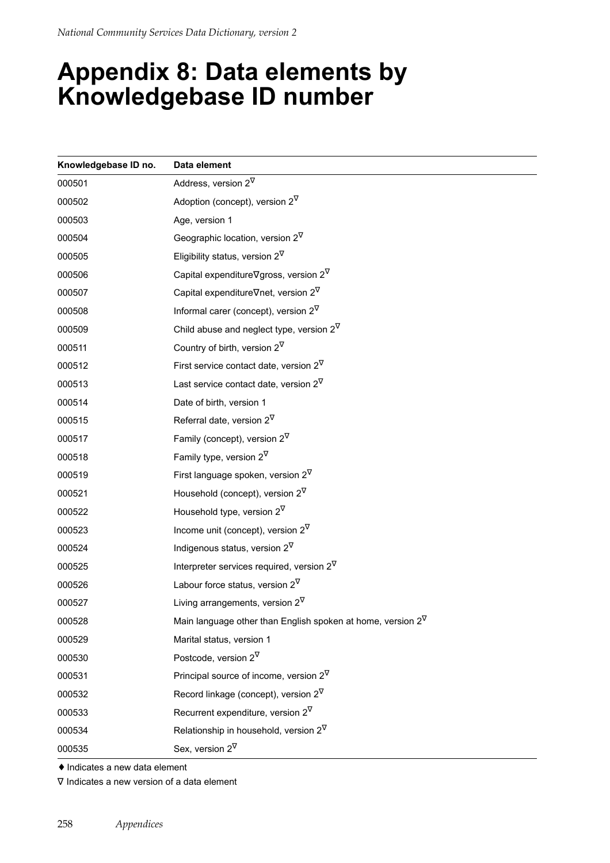## **Appendix 8: Data elements by Knowledgebase ID number**

| Knowledgebase ID no. | Data element                                                   |
|----------------------|----------------------------------------------------------------|
| 000501               | Address, version $2^{\nabla}$                                  |
| 000502               | Adoption (concept), version $2^{\nabla}$                       |
| 000503               | Age, version 1                                                 |
| 000504               | Geographic location, version $2^{\nabla}$                      |
| 000505               | Eligibility status, version $2^{\nabla}$                       |
| 000506               | Capital expenditure $\nabla$ gross, version 2 $\nabla$         |
| 000507               | Capital expenditure $\nabla$ net, version 2 $\nabla$           |
| 000508               | Informal carer (concept), version $2^{\nabla}$                 |
| 000509               | Child abuse and neglect type, version $2^{\nabla}$             |
| 000511               | Country of birth, version $2^{\nabla}$                         |
| 000512               | First service contact date, version $2^{\nabla}$               |
| 000513               | Last service contact date, version $2^{\nabla}$                |
| 000514               | Date of birth, version 1                                       |
| 000515               | Referral date, version $2^{\nabla}$                            |
| 000517               | Family (concept), version $2^{\nabla}$                         |
| 000518               | Family type, version $2^{\nabla}$                              |
| 000519               | First language spoken, version $2^{\nabla}$                    |
| 000521               | Household (concept), version $2^{\nabla}$                      |
| 000522               | Household type, version $2^{\nabla}$                           |
| 000523               | Income unit (concept), version $2^{\nabla}$                    |
| 000524               | Indigenous status, version $2^{\nabla}$                        |
| 000525               | Interpreter services required, version $2^{\nabla}$            |
| 000526               | Labour force status, version $2^{\nabla}$                      |
| 000527               | Living arrangements, version $2^{\nabla}$                      |
| 000528               | Main language other than English spoken at home, version $2^V$ |
| 000529               | Marital status, version 1                                      |
| 000530               | Postcode, version $2^{\nabla}$                                 |
| 000531               | Principal source of income, version $2^{\nabla}$               |
| 000532               | Record linkage (concept), version $2^{\nabla}$                 |
| 000533               | Recurrent expenditure, version $2^{\nabla}$                    |
| 000534               | Relationship in household, version $2^{\nabla}$                |
| 000535               | Sex, version $2^{\nabla}$                                      |

♦ Indicates a new data element

∇ Indicates a new version of a data element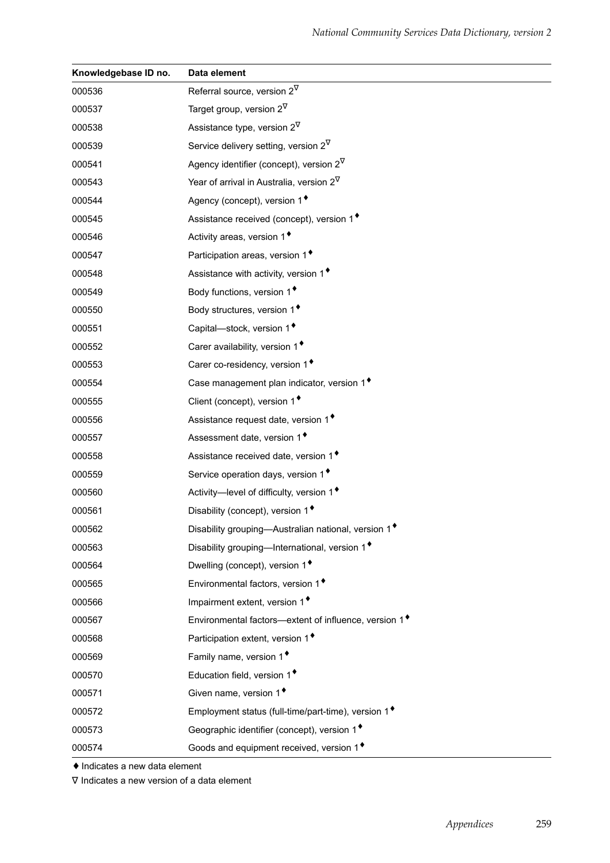| Knowledgebase ID no. | Data element                                                      |
|----------------------|-------------------------------------------------------------------|
| 000536               | Referral source, version $2^{\nabla}$                             |
| 000537               | Target group, version $2^{\nabla}$                                |
| 000538               | Assistance type, version $2^{\nabla}$                             |
| 000539               | Service delivery setting, version $2^{\nabla}$                    |
| 000541               | Agency identifier (concept), version $2^{\nabla}$                 |
| 000543               | Year of arrival in Australia, version $2^{\nabla}$                |
| 000544               | Agency (concept), version 1 <sup>+</sup>                          |
| 000545               | Assistance received (concept), version 1 <sup>+</sup>             |
| 000546               | Activity areas, version 1 <sup>+</sup>                            |
| 000547               | Participation areas, version 1 <sup>+</sup>                       |
| 000548               | Assistance with activity, version 1 <sup>+</sup>                  |
| 000549               | Body functions, version 1 <sup>+</sup>                            |
| 000550               | Body structures, version 1 <sup>+</sup>                           |
| 000551               | Capital-stock, version 1 <sup>*</sup>                             |
| 000552               | Carer availability, version 1 <sup>+</sup>                        |
| 000553               | Carer co-residency, version 1 <sup>+</sup>                        |
| 000554               | Case management plan indicator, version 1 <sup>+</sup>            |
| 000555               | Client (concept), version 1 <sup>+</sup>                          |
| 000556               | Assistance request date, version 1 <sup>+</sup>                   |
| 000557               | Assessment date, version 1 <sup>+</sup>                           |
| 000558               | Assistance received date, version 1 <sup>+</sup>                  |
| 000559               | Service operation days, version 1 <sup>+</sup>                    |
| 000560               | Activity-level of difficulty, version 1 <sup>+</sup>              |
| 000561               | Disability (concept), version 1 <sup>+</sup>                      |
| 000562               | Disability grouping-Australian national, version 1 <sup>*</sup>   |
| 000563               | Disability grouping-International, version 1 <sup>+</sup>         |
| 000564               | Dwelling (concept), version 1 <sup>+</sup>                        |
| 000565               | Environmental factors, version 1 <sup>+</sup>                     |
| 000566               | Impairment extent, version 1 <sup>+</sup>                         |
| 000567               | Environmental factors—extent of influence, version 1 <sup>+</sup> |
| 000568               | Participation extent, version 1 <sup>+</sup>                      |
| 000569               | Family name, version 1 <sup>+</sup>                               |
| 000570               | Education field, version 1 <sup>+</sup>                           |
| 000571               | Given name, version 1 <sup>+</sup>                                |
| 000572               | Employment status (full-time/part-time), version 1 <sup>+</sup>   |
| 000573               | Geographic identifier (concept), version 1 <sup>*</sup>           |
| 000574               | Goods and equipment received, version 1 <sup>*</sup>              |

♦ Indicates a new data element

∇ Indicates a new version of a data element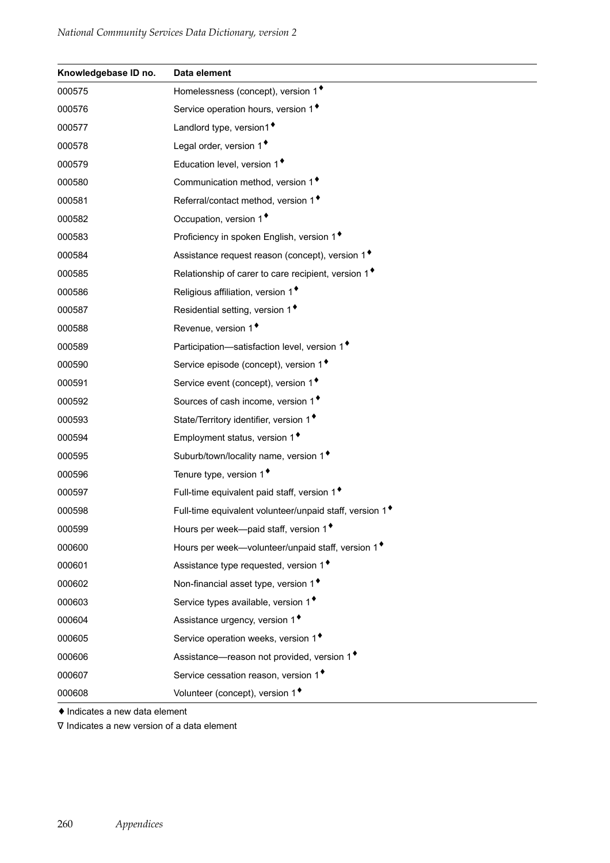| Knowledgebase ID no. | Data element                                                        |
|----------------------|---------------------------------------------------------------------|
| 000575               | Homelessness (concept), version 1 <sup>+</sup>                      |
| 000576               | Service operation hours, version 1 <sup>+</sup>                     |
| 000577               | Landlord type, version1 <sup>+</sup>                                |
| 000578               | Legal order, version 1 <sup>+</sup>                                 |
| 000579               | Education level, version 1 <sup>+</sup>                             |
| 000580               | Communication method, version 1 <sup>+</sup>                        |
| 000581               | Referral/contact method, version 1 <sup>+</sup>                     |
| 000582               | Occupation, version 1 <sup>+</sup>                                  |
| 000583               | Proficiency in spoken English, version 1 <sup>+</sup>               |
| 000584               | Assistance request reason (concept), version 1 <sup>+</sup>         |
| 000585               | Relationship of carer to care recipient, version 1 <sup>*</sup>     |
| 000586               | Religious affiliation, version 1 <sup>*</sup>                       |
| 000587               | Residential setting, version 1 <sup>*</sup>                         |
| 000588               | Revenue, version 1 <sup>*</sup>                                     |
| 000589               | Participation-satisfaction level, version 1 <sup>+</sup>            |
| 000590               | Service episode (concept), version 1 <sup>*</sup>                   |
| 000591               | Service event (concept), version 1 <sup>+</sup>                     |
| 000592               | Sources of cash income, version 1 <sup>+</sup>                      |
| 000593               | State/Territory identifier, version 1 <sup>*</sup>                  |
| 000594               | Employment status, version 1 <sup>*</sup>                           |
| 000595               | Suburb/town/locality name, version 1 <sup>+</sup>                   |
| 000596               | Tenure type, version 1 <sup>+</sup>                                 |
| 000597               | Full-time equivalent paid staff, version 1 <sup>*</sup>             |
| 000598               | Full-time equivalent volunteer/unpaid staff, version 1 <sup>+</sup> |
| 000599               | Hours per week-paid staff, version 1 <sup>+</sup>                   |
| 000600               | Hours per week-volunteer/unpaid staff, version 1 <sup>*</sup>       |
| 000601               | Assistance type requested, version 1 <sup>*</sup>                   |
| 000602               | Non-financial asset type, version 1 <sup>+</sup>                    |
| 000603               | Service types available, version 1 <sup>+</sup>                     |
| 000604               | Assistance urgency, version 1 <sup>+</sup>                          |
| 000605               | Service operation weeks, version 1 <sup>+</sup>                     |
| 000606               | Assistance-reason not provided, version 1 <sup>*</sup>              |
| 000607               | Service cessation reason, version 1 <sup>*</sup>                    |
| 000608               | Volunteer (concept), version 1 <sup>+</sup>                         |

♦ Indicates a new data element

∇ Indicates a new version of a data element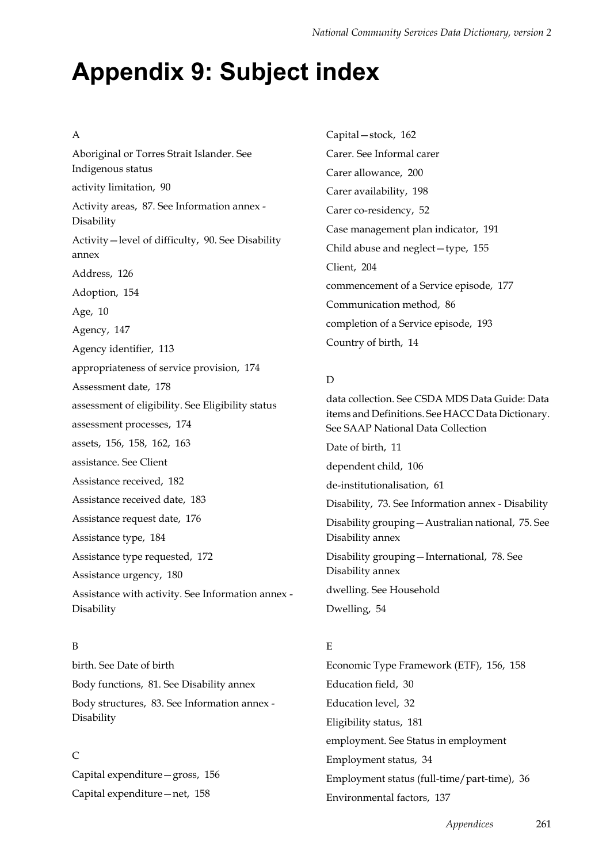# **Appendix 9: Subject index**

#### A

Aboriginal or Torres Strait Islander. See Indigenous status activity limitation, 90 Activity areas, 87. See Information annex - Disability Activity—level of difficulty, 90. See Disability annex Address, 126 Adoption, 154 Age, 10 Agency, 147 Agency identifier, 113 appropriateness of service provision, 174 Assessment date, 178 assessment of eligibility. See Eligibility status assessment processes, 174 assets, 156, 158, 162, 163 assistance. See Client Assistance received, 182 Assistance received date, 183 Assistance request date, 176 Assistance type, 184 Assistance type requested, 172 Assistance urgency, 180 Assistance with activity. See Information annex - Disability

#### B

birth. See Date of birth Body functions, 81. See Disability annex Body structures, 83. See Information annex - Disability

#### $\Gamma$

Capital expenditure—gross, 156 Capital expenditure—net, 158

Capital—stock, 162 Carer. See Informal carer Carer allowance, 200 Carer availability, 198 Carer co-residency, 52 Case management plan indicator, 191 Child abuse and neglect—type, 155 Client, 204 commencement of a Service episode, 177 Communication method, 86 completion of a Service episode, 193 Country of birth, 14

#### D

data collection. See CSDA MDS Data Guide: Data items and Definitions. See HACC Data Dictionary. See SAAP National Data Collection Date of birth, 11 dependent child, 106 de-institutionalisation, 61 Disability, 73. See Information annex - Disability Disability grouping—Australian national, 75. See Disability annex Disability grouping—International, 78. See

Disability annex dwelling. See Household Dwelling, 54

#### E

Economic Type Framework (ETF), 156, 158 Education field, 30 Education level, 32 Eligibility status, 181 employment. See Status in employment Employment status, 34 Employment status (full-time/part-time), 36 Environmental factors, 137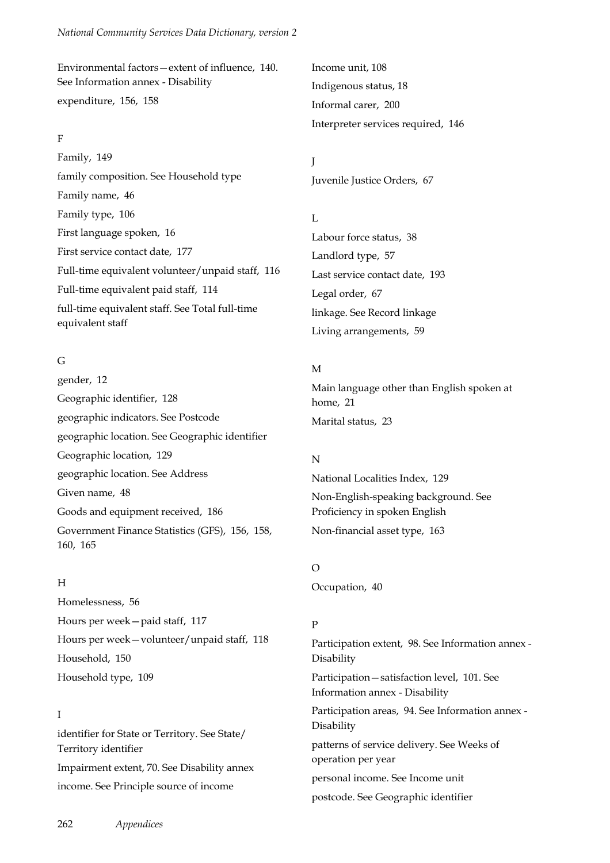Environmental factors—extent of influence, 140. See Information annex - Disability expenditure, 156, 158

#### F

Family, 149 family composition. See Household type Family name, 46 Family type, 106 First language spoken, 16 First service contact date, 177 Full-time equivalent volunteer/unpaid staff, 116 Full-time equivalent paid staff, 114 full-time equivalent staff. See Total full-time equivalent staff

#### G

gender, 12 Geographic identifier, 128 geographic indicators. See Postcode geographic location. See Geographic identifier Geographic location, 129 geographic location. See Address Given name, 48 Goods and equipment received, 186 Government Finance Statistics (GFS), 156, 158, 160, 165

#### H

Homelessness, 56 Hours per week—paid staff, 117 Hours per week—volunteer/unpaid staff, 118 Household, 150 Household type, 109

#### I

identifier for State or Territory. See State/ Territory identifier Impairment extent, 70. See Disability annex income. See Principle source of income

Income unit, 108 Indigenous status, 18 Informal carer, 200 Interpreter services required, 146

J Juvenile Justice Orders, 67

L Labour force status, 38 Landlord type, 57 Last service contact date, 193 Legal order, 67 linkage. See Record linkage Living arrangements, 59

#### M

Main language other than English spoken at home, 21 Marital status, 23

#### N

National Localities Index, 129 Non-English-speaking background. See Proficiency in spoken English Non-financial asset type, 163

#### $\Omega$

Occupation, 40

#### P

Participation extent, 98. See Information annex - Disability Participation—satisfaction level, 101. See Information annex - Disability Participation areas, 94. See Information annex - Disability patterns of service delivery. See Weeks of operation per year personal income. See Income unit postcode. See Geographic identifier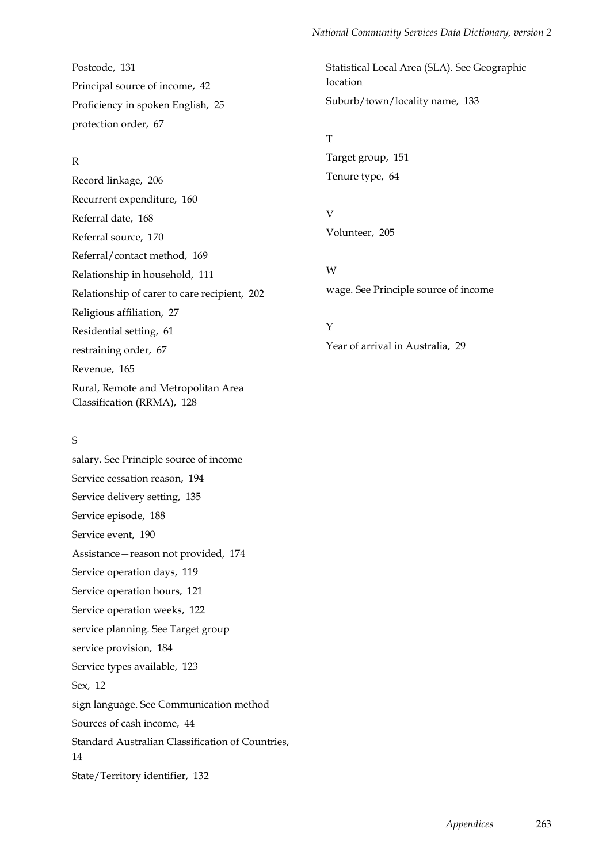Postcode, 131 Principal source of income, 42 Proficiency in spoken English, 25 protection order, 67

#### R

Record linkage, 206 Recurrent expenditure, 160 Referral date, 168 Referral source, 170 Referral/contact method, 169 Relationship in household, 111 Relationship of carer to care recipient, 202 Religious affiliation, 27 Residential setting, 61 restraining order, 67 Revenue, 165 Rural, Remote and Metropolitan Area Classification (RRMA), 128

#### S

salary. See Principle source of income Service cessation reason, 194 Service delivery setting, 135 Service episode, 188 Service event, 190 Assistance—reason not provided, 174 Service operation days, 119 Service operation hours, 121 Service operation weeks, 122 service planning. See Target group service provision, 184 Service types available, 123 Sex, 12 sign language. See Communication method Sources of cash income, 44 Standard Australian Classification of Countries, 14 State/Territory identifier, 132

Statistical Local Area (SLA). See Geographic location Suburb/town/locality name, 133

#### T Target group, 151 Tenure type, 64

V Volunteer, 205

#### W

wage. See Principle source of income

#### Y

Year of arrival in Australia, 29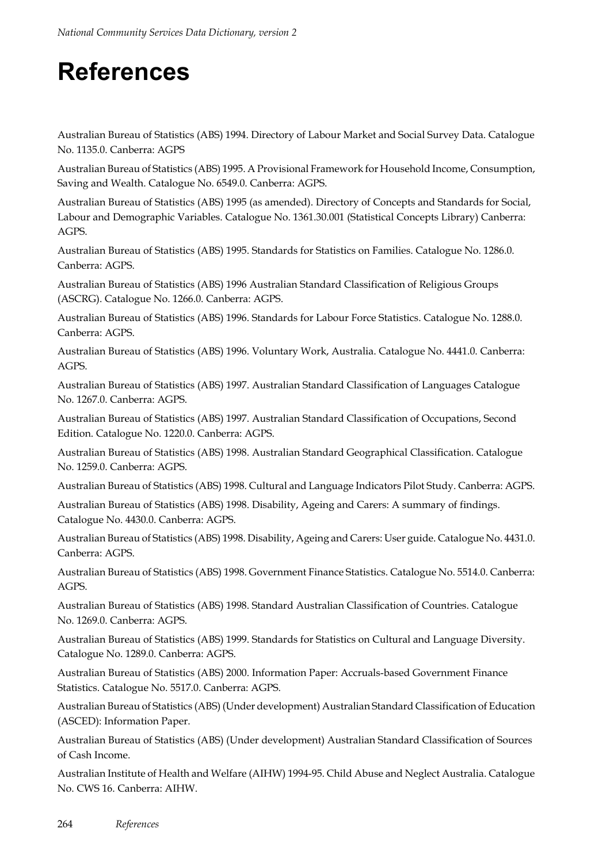# **References**

Australian Bureau of Statistics (ABS) 1994. Directory of Labour Market and Social Survey Data. Catalogue No. 1135.0. Canberra: AGPS

Australian Bureau of Statistics (ABS) 1995. A Provisional Framework for Household Income, Consumption, Saving and Wealth. Catalogue No. 6549.0. Canberra: AGPS.

Australian Bureau of Statistics (ABS) 1995 (as amended). Directory of Concepts and Standards for Social, Labour and Demographic Variables. Catalogue No. 1361.30.001 (Statistical Concepts Library) Canberra: AGPS.

Australian Bureau of Statistics (ABS) 1995. Standards for Statistics on Families. Catalogue No. 1286.0. Canberra: AGPS.

Australian Bureau of Statistics (ABS) 1996 Australian Standard Classification of Religious Groups (ASCRG). Catalogue No. 1266.0. Canberra: AGPS.

Australian Bureau of Statistics (ABS) 1996. Standards for Labour Force Statistics. Catalogue No. 1288.0. Canberra: AGPS.

Australian Bureau of Statistics (ABS) 1996. Voluntary Work, Australia. Catalogue No. 4441.0. Canberra: AGPS.

Australian Bureau of Statistics (ABS) 1997. Australian Standard Classification of Languages Catalogue No. 1267.0. Canberra: AGPS.

Australian Bureau of Statistics (ABS) 1997. Australian Standard Classification of Occupations, Second Edition. Catalogue No. 1220.0. Canberra: AGPS.

Australian Bureau of Statistics (ABS) 1998. Australian Standard Geographical Classification. Catalogue No. 1259.0. Canberra: AGPS.

Australian Bureau of Statistics (ABS) 1998. Cultural and Language Indicators Pilot Study. Canberra: AGPS.

Australian Bureau of Statistics (ABS) 1998. Disability, Ageing and Carers: A summary of findings. Catalogue No. 4430.0. Canberra: AGPS.

Australian Bureau of Statistics (ABS) 1998. Disability, Ageing and Carers: User guide. Catalogue No. 4431.0. Canberra: AGPS.

Australian Bureau of Statistics (ABS) 1998. Government Finance Statistics. Catalogue No. 5514.0. Canberra: AGPS.

Australian Bureau of Statistics (ABS) 1998. Standard Australian Classification of Countries. Catalogue No. 1269.0. Canberra: AGPS.

Australian Bureau of Statistics (ABS) 1999. Standards for Statistics on Cultural and Language Diversity. Catalogue No. 1289.0. Canberra: AGPS.

Australian Bureau of Statistics (ABS) 2000. Information Paper: Accruals-based Government Finance Statistics. Catalogue No. 5517.0. Canberra: AGPS.

Australian Bureau of Statistics (ABS) (Under development) Australian Standard Classification of Education (ASCED): Information Paper.

Australian Bureau of Statistics (ABS) (Under development) Australian Standard Classification of Sources of Cash Income.

Australian Institute of Health and Welfare (AIHW) 1994-95. Child Abuse and Neglect Australia. Catalogue No. CWS 16. Canberra: AIHW.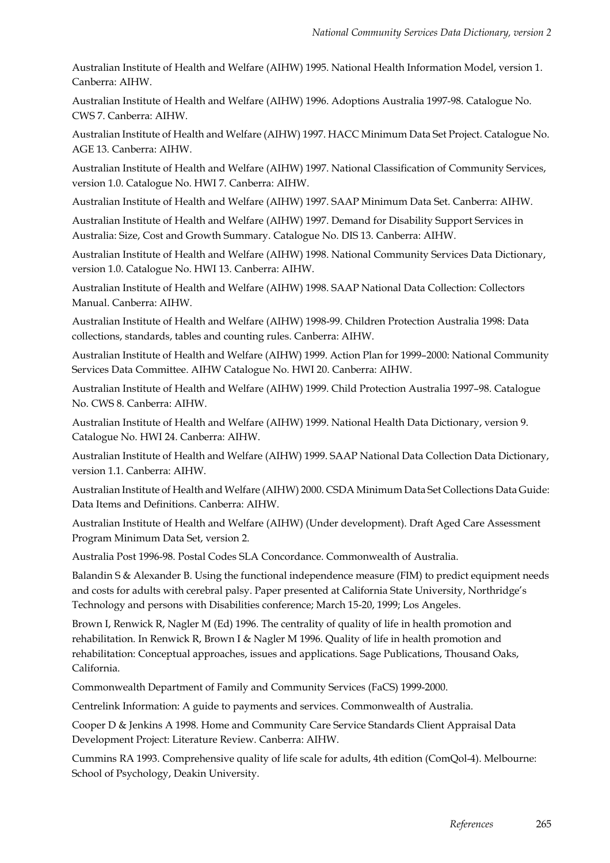Australian Institute of Health and Welfare (AIHW) 1995. National Health Information Model, version 1. Canberra: AIHW.

Australian Institute of Health and Welfare (AIHW) 1996. Adoptions Australia 1997-98. Catalogue No. CWS 7. Canberra: AIHW.

Australian Institute of Health and Welfare (AIHW) 1997. HACC Minimum Data Set Project. Catalogue No. AGE 13. Canberra: AIHW.

Australian Institute of Health and Welfare (AIHW) 1997. National Classification of Community Services, version 1.0. Catalogue No. HWI 7. Canberra: AIHW.

Australian Institute of Health and Welfare (AIHW) 1997. SAAP Minimum Data Set. Canberra: AIHW.

Australian Institute of Health and Welfare (AIHW) 1997. Demand for Disability Support Services in Australia: Size, Cost and Growth Summary. Catalogue No. DIS 13. Canberra: AIHW.

Australian Institute of Health and Welfare (AIHW) 1998. National Community Services Data Dictionary, version 1.0. Catalogue No. HWI 13. Canberra: AIHW.

Australian Institute of Health and Welfare (AIHW) 1998. SAAP National Data Collection: Collectors Manual. Canberra: AIHW.

Australian Institute of Health and Welfare (AIHW) 1998-99. Children Protection Australia 1998: Data collections, standards, tables and counting rules. Canberra: AIHW.

Australian Institute of Health and Welfare (AIHW) 1999. Action Plan for 1999–2000: National Community Services Data Committee. AIHW Catalogue No. HWI 20. Canberra: AIHW.

Australian Institute of Health and Welfare (AIHW) 1999. Child Protection Australia 1997–98. Catalogue No. CWS 8. Canberra: AIHW.

Australian Institute of Health and Welfare (AIHW) 1999. National Health Data Dictionary, version 9. Catalogue No. HWI 24. Canberra: AIHW.

Australian Institute of Health and Welfare (AIHW) 1999. SAAP National Data Collection Data Dictionary, version 1.1. Canberra: AIHW.

Australian Institute of Health and Welfare (AIHW) 2000. CSDA Minimum Data Set Collections Data Guide: Data Items and Definitions. Canberra: AIHW.

Australian Institute of Health and Welfare (AIHW) (Under development). Draft Aged Care Assessment Program Minimum Data Set, version 2.

Australia Post 1996-98. Postal Codes SLA Concordance. Commonwealth of Australia.

Balandin S & Alexander B. Using the functional independence measure (FIM) to predict equipment needs and costs for adults with cerebral palsy. Paper presented at California State University, Northridge's Technology and persons with Disabilities conference; March 15-20, 1999; Los Angeles.

Brown I, Renwick R, Nagler M (Ed) 1996. The centrality of quality of life in health promotion and rehabilitation. In Renwick R, Brown I & Nagler M 1996. Quality of life in health promotion and rehabilitation: Conceptual approaches, issues and applications. Sage Publications, Thousand Oaks, California.

Commonwealth Department of Family and Community Services (FaCS) 1999-2000.

Centrelink Information: A guide to payments and services. Commonwealth of Australia.

Cooper D & Jenkins A 1998. Home and Community Care Service Standards Client Appraisal Data Development Project: Literature Review. Canberra: AIHW.

Cummins RA 1993. Comprehensive quality of life scale for adults, 4th edition (ComQol-4). Melbourne: School of Psychology, Deakin University.